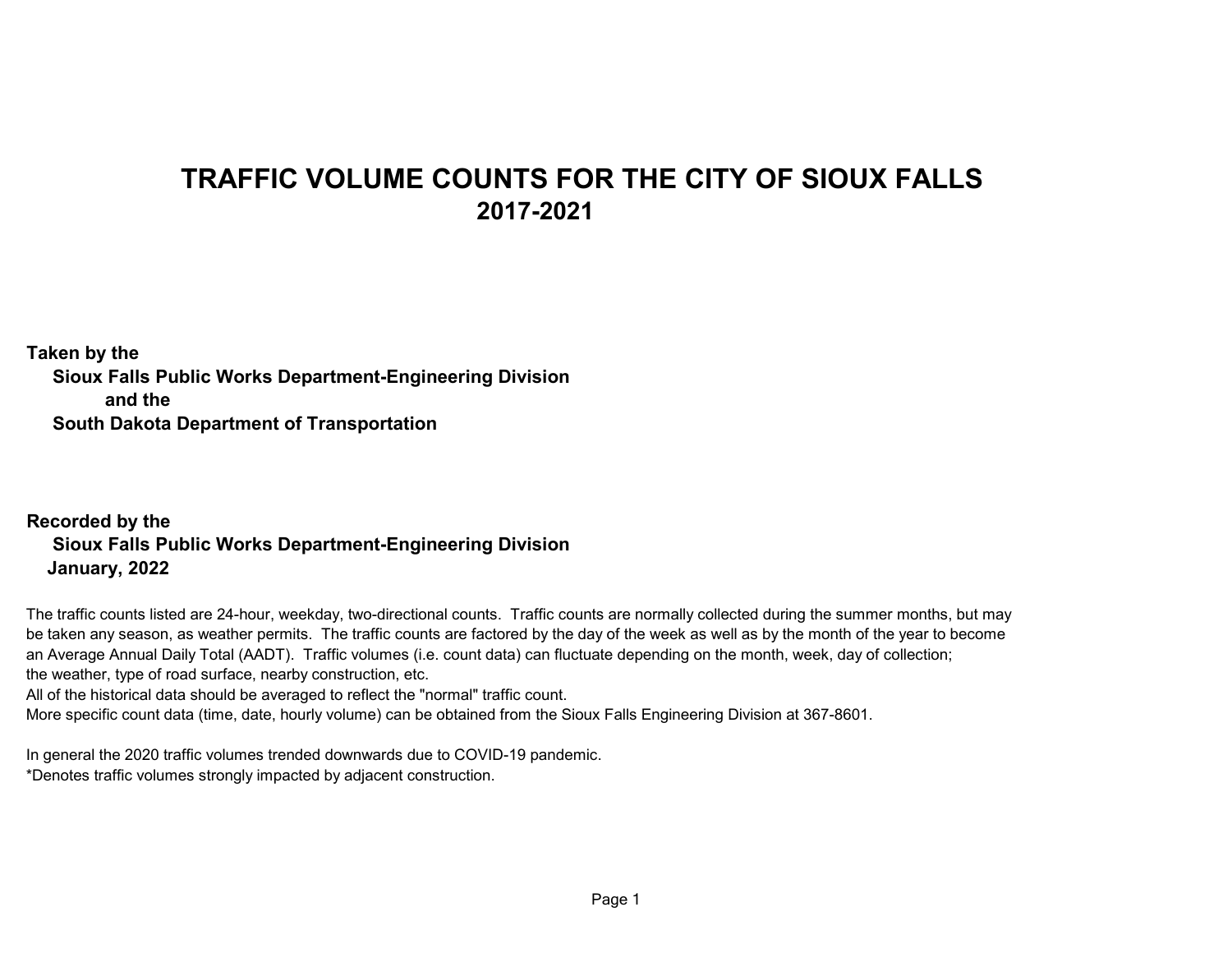## **TRAFFIC VOLUME COUNTS FOR THE CITY OF SIOUX FALLS 2017-2021**

**Taken by the Sioux Falls Public Works Department-Engineering Division and the South Dakota Department of Transportation** 

## **Recorded by the Sioux Falls Public Works Department-Engineering Division January, 2022**

The traffic counts listed are 24-hour, weekday, two-directional counts. Traffic counts are normally collected during the summer months, but may be taken any season, as weather permits. The traffic counts are factored by the day of the week as well as by the month of the year to become an Average Annual Daily Total (AADT). Traffic volumes (i.e. count data) can fluctuate depending on the month, week, day of collection; the weather, type of road surface, nearby construction, etc.

All of the historical data should be averaged to reflect the "normal" traffic count.

More specific count data (time, date, hourly volume) can be obtained from the Sioux Falls Engineering Division at 367-8601.

In general the 2020 traffic volumes trended downwards due to COVID-19 pandemic. \*Denotes traffic volumes strongly impacted by adjacent construction.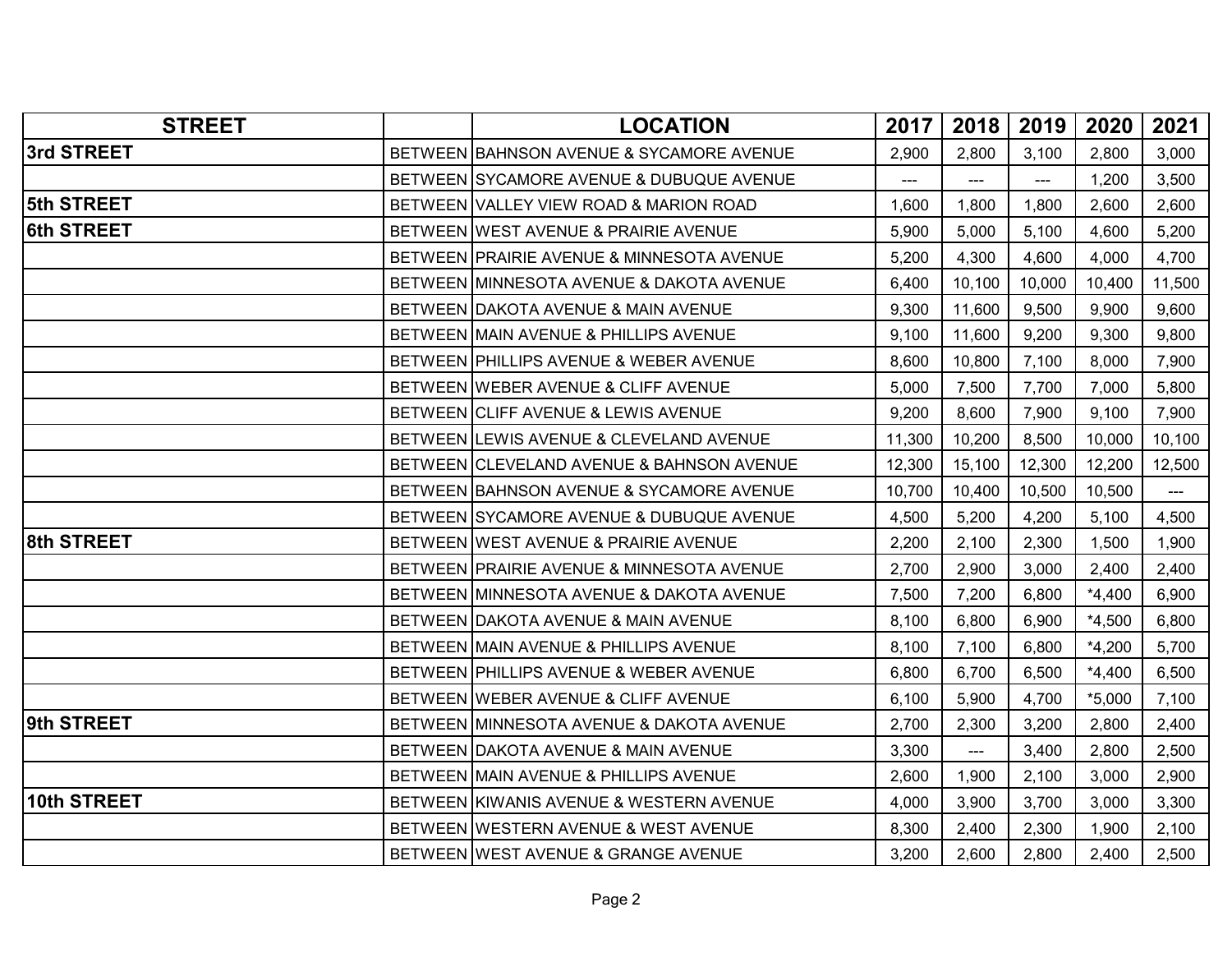| <b>STREET</b>     | <b>LOCATION</b>                           | 2017   | 2018                   | 2019   | 2020     | 2021                 |
|-------------------|-------------------------------------------|--------|------------------------|--------|----------|----------------------|
| 3rd STREET        | BETWEEN BAHNSON AVENUE & SYCAMORE AVENUE  | 2,900  | 2,800                  | 3,100  | 2,800    | 3,000                |
|                   | BETWEEN SYCAMORE AVENUE & DUBUQUE AVENUE  | ---    | $\overline{a}$         | ---    | 1,200    | 3,500                |
| 5th STREET        | BETWEEN VALLEY VIEW ROAD & MARION ROAD    | 1,600  | 1,800                  | 1,800  | 2,600    | 2,600                |
| <b>6th STREET</b> | BETWEEN WEST AVENUE & PRAIRIE AVENUE      | 5,900  | 5,000                  | 5,100  | 4,600    | 5,200                |
|                   | BETWEEN PRAIRIE AVENUE & MINNESOTA AVENUE | 5,200  | 4,300                  | 4,600  | 4,000    | 4,700                |
|                   | BETWEEN MINNESOTA AVENUE & DAKOTA AVENUE  | 6,400  | 10,100                 | 10,000 | 10,400   | 11,500               |
|                   | BETWEEN DAKOTA AVENUE & MAIN AVENUE       | 9,300  | 11,600                 | 9,500  | 9,900    | 9,600                |
|                   | BETWEEN MAIN AVENUE & PHILLIPS AVENUE     | 9,100  | 11,600                 | 9,200  | 9,300    | 9,800                |
|                   | BETWEEN PHILLIPS AVENUE & WEBER AVENUE    | 8,600  | 10,800                 | 7,100  | 8,000    | 7,900                |
|                   | BETWEEN WEBER AVENUE & CLIFF AVENUE       | 5,000  | 7,500                  | 7,700  | 7,000    | 5,800                |
|                   | BETWEEN CLIFF AVENUE & LEWIS AVENUE       | 9,200  | 8,600                  | 7,900  | 9,100    | 7,900                |
|                   | BETWEEN LEWIS AVENUE & CLEVELAND AVENUE   | 11,300 | 10,200                 | 8,500  | 10,000   | 10,100               |
|                   | BETWEEN CLEVELAND AVENUE & BAHNSON AVENUE | 12,300 | 15,100                 | 12,300 | 12,200   | 12,500               |
|                   | BETWEEN BAHNSON AVENUE & SYCAMORE AVENUE  | 10,700 | 10,400                 | 10,500 | 10,500   | $\scriptstyle\cdots$ |
|                   | BETWEEN SYCAMORE AVENUE & DUBUQUE AVENUE  | 4,500  | 5,200                  | 4,200  | 5,100    | 4,500                |
| 8th STREET        | BETWEEN WEST AVENUE & PRAIRIE AVENUE      | 2,200  | 2,100                  | 2,300  | 1,500    | 1,900                |
|                   | BETWEEN PRAIRIE AVENUE & MINNESOTA AVENUE | 2,700  | 2,900                  | 3,000  | 2,400    | 2,400                |
|                   | BETWEEN MINNESOTA AVENUE & DAKOTA AVENUE  | 7,500  | 7,200                  | 6,800  | $*4,400$ | 6,900                |
|                   | BETWEEN DAKOTA AVENUE & MAIN AVENUE       | 8,100  | 6,800                  | 6,900  | $*4,500$ | 6,800                |
|                   | BETWEEN MAIN AVENUE & PHILLIPS AVENUE     | 8,100  | 7,100                  | 6,800  | $*4,200$ | 5,700                |
|                   | BETWEEN PHILLIPS AVENUE & WEBER AVENUE    | 6,800  | 6,700                  | 6,500  | $*4,400$ | 6,500                |
|                   | BETWEEN WEBER AVENUE & CLIFF AVENUE       | 6,100  | 5,900                  | 4,700  | $*5,000$ | 7,100                |
| 9th STREET        | BETWEEN MINNESOTA AVENUE & DAKOTA AVENUE  | 2,700  | 2,300                  | 3,200  | 2,800    | 2,400                |
|                   | BETWEEN DAKOTA AVENUE & MAIN AVENUE       | 3,300  | $\qquad \qquad \cdots$ | 3,400  | 2,800    | 2,500                |
|                   | BETWEEN MAIN AVENUE & PHILLIPS AVENUE     | 2,600  | 1,900                  | 2,100  | 3,000    | 2,900                |
| 10th STREET       | BETWEEN KIWANIS AVENUE & WESTERN AVENUE   | 4,000  | 3,900                  | 3,700  | 3,000    | 3,300                |
|                   | BETWEEN WESTERN AVENUE & WEST AVENUE      | 8,300  | 2,400                  | 2,300  | 1,900    | 2,100                |
|                   | BETWEEN WEST AVENUE & GRANGE AVENUE       | 3,200  | 2,600                  | 2,800  | 2,400    | 2,500                |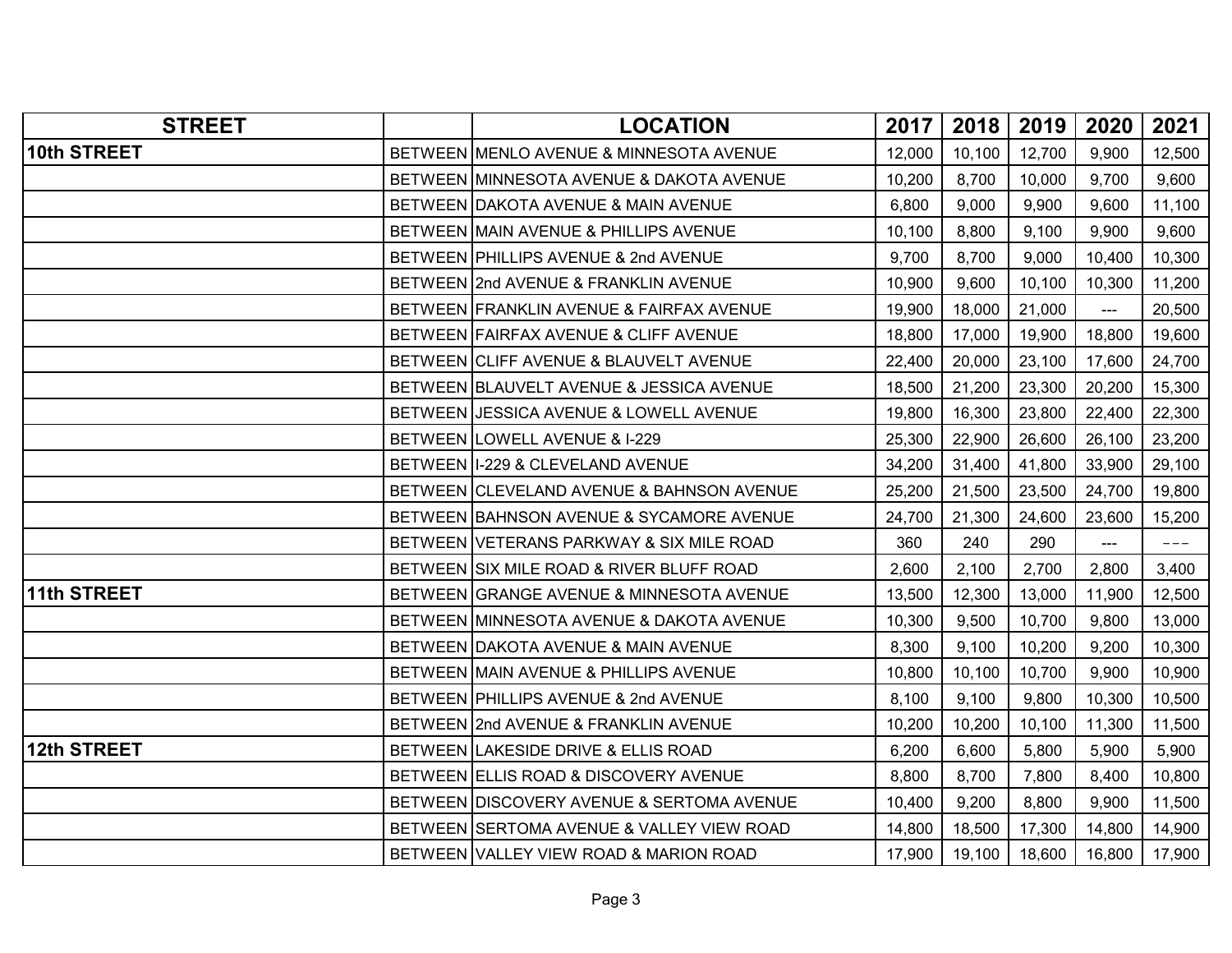| <b>STREET</b>      | <b>LOCATION</b>                           | 2017   | 2018   | 2019   | 2020           | 2021       |
|--------------------|-------------------------------------------|--------|--------|--------|----------------|------------|
| 10th STREET        | BETWEEN MENLO AVENUE & MINNESOTA AVENUE   | 12,000 | 10,100 | 12,700 | 9,900          | 12,500     |
|                    | BETWEEN MINNESOTA AVENUE & DAKOTA AVENUE  | 10,200 | 8,700  | 10,000 | 9,700          | 9,600      |
|                    | BETWEEN DAKOTA AVENUE & MAIN AVENUE       | 6,800  | 9,000  | 9,900  | 9,600          | 11,100     |
|                    | BETWEEN MAIN AVENUE & PHILLIPS AVENUE     | 10,100 | 8,800  | 9,100  | 9,900          | 9,600      |
|                    | BETWEEN PHILLIPS AVENUE & 2nd AVENUE      | 9,700  | 8,700  | 9,000  | 10,400         | 10,300     |
|                    | BETWEEN 2nd AVENUE & FRANKLIN AVENUE      | 10,900 | 9,600  | 10,100 | 10,300         | 11,200     |
|                    | BETWEEN FRANKLIN AVENUE & FAIRFAX AVENUE  | 19,900 | 18,000 | 21,000 | $\overline{a}$ | 20,500     |
|                    | BETWEEN FAIRFAX AVENUE & CLIFF AVENUE     | 18,800 | 17,000 | 19,900 | 18,800         | 19,600     |
|                    | BETWEEN CLIFF AVENUE & BLAUVELT AVENUE    | 22,400 | 20,000 | 23,100 | 17,600         | 24,700     |
|                    | BETWEEN BLAUVELT AVENUE & JESSICA AVENUE  | 18,500 | 21,200 | 23,300 | 20,200         | 15,300     |
|                    | BETWEEN JESSICA AVENUE & LOWELL AVENUE    | 19,800 | 16,300 | 23,800 | 22,400         | 22,300     |
|                    | BETWEEN LOWELL AVENUE & I-229             | 25,300 | 22,900 | 26,600 | 26,100         | 23,200     |
|                    | BETWEEN I-229 & CLEVELAND AVENUE          | 34,200 | 31,400 | 41,800 | 33,900         | 29,100     |
|                    | BETWEEN CLEVELAND AVENUE & BAHNSON AVENUE | 25,200 | 21,500 | 23,500 | 24,700         | 19,800     |
|                    | BETWEEN BAHNSON AVENUE & SYCAMORE AVENUE  | 24,700 | 21,300 | 24,600 | 23,600         | 15,200     |
|                    | BETWEEN VETERANS PARKWAY & SIX MILE ROAD  | 360    | 240    | 290    | $\overline{a}$ | $--\,$ $-$ |
|                    | BETWEEN SIX MILE ROAD & RIVER BLUFF ROAD  | 2,600  | 2,100  | 2,700  | 2,800          | 3,400      |
| 11th STREET        | BETWEEN GRANGE AVENUE & MINNESOTA AVENUE  | 13,500 | 12,300 | 13,000 | 11,900         | 12,500     |
|                    | BETWEEN MINNESOTA AVENUE & DAKOTA AVENUE  | 10,300 | 9,500  | 10,700 | 9,800          | 13,000     |
|                    | BETWEEN DAKOTA AVENUE & MAIN AVENUE       | 8,300  | 9,100  | 10,200 | 9,200          | 10,300     |
|                    | BETWEEN MAIN AVENUE & PHILLIPS AVENUE     | 10,800 | 10,100 | 10,700 | 9,900          | 10,900     |
|                    | BETWEEN PHILLIPS AVENUE & 2nd AVENUE      | 8,100  | 9,100  | 9,800  | 10,300         | 10,500     |
|                    | BETWEEN 2nd AVENUE & FRANKLIN AVENUE      | 10,200 | 10,200 | 10,100 | 11,300         | 11,500     |
| <b>12th STREET</b> | BETWEEN LAKESIDE DRIVE & ELLIS ROAD       | 6,200  | 6,600  | 5,800  | 5,900          | 5,900      |
|                    | BETWEEN ELLIS ROAD & DISCOVERY AVENUE     | 8,800  | 8,700  | 7,800  | 8,400          | 10,800     |
|                    | BETWEEN DISCOVERY AVENUE & SERTOMA AVENUE | 10,400 | 9,200  | 8,800  | 9,900          | 11,500     |
|                    | BETWEEN SERTOMA AVENUE & VALLEY VIEW ROAD | 14,800 | 18,500 | 17,300 | 14,800         | 14,900     |
|                    | BETWEEN VALLEY VIEW ROAD & MARION ROAD    | 17,900 | 19,100 | 18,600 | 16,800         | 17,900     |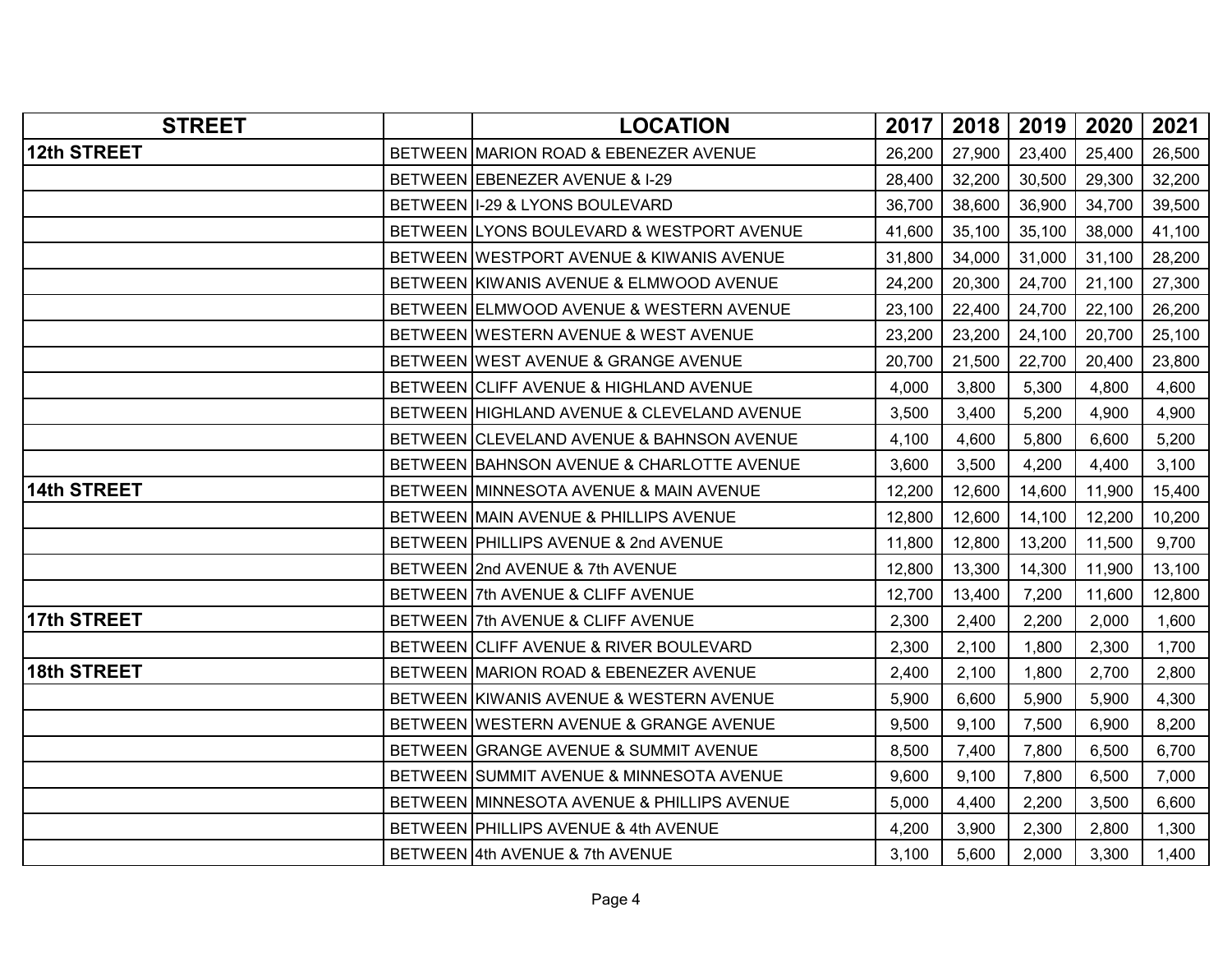| <b>STREET</b>      | <b>LOCATION</b>                            | 2017   | 2018   | 2019   | 2020   | 2021   |
|--------------------|--------------------------------------------|--------|--------|--------|--------|--------|
| 12th STREET        | BETWEEN MARION ROAD & EBENEZER AVENUE      | 26,200 | 27,900 | 23,400 | 25,400 | 26,500 |
|                    | BETWEEN EBENEZER AVENUE & I-29             | 28,400 | 32,200 | 30,500 | 29,300 | 32,200 |
|                    | BETWEEN I-29 & LYONS BOULEVARD             | 36,700 | 38,600 | 36,900 | 34,700 | 39,500 |
|                    | BETWEEN LYONS BOULEVARD & WESTPORT AVENUE  | 41,600 | 35,100 | 35,100 | 38,000 | 41,100 |
|                    | BETWEEN WESTPORT AVENUE & KIWANIS AVENUE   | 31,800 | 34,000 | 31,000 | 31,100 | 28,200 |
|                    | BETWEEN KIWANIS AVENUE & ELMWOOD AVENUE    | 24,200 | 20,300 | 24,700 | 21,100 | 27,300 |
|                    | BETWEEN ELMWOOD AVENUE & WESTERN AVENUE    | 23,100 | 22,400 | 24,700 | 22,100 | 26,200 |
|                    | BETWEEN WESTERN AVENUE & WEST AVENUE       | 23,200 | 23,200 | 24,100 | 20,700 | 25,100 |
|                    | BETWEEN WEST AVENUE & GRANGE AVENUE        | 20,700 | 21,500 | 22,700 | 20,400 | 23,800 |
|                    | BETWEEN CLIFF AVENUE & HIGHLAND AVENUE     | 4,000  | 3,800  | 5,300  | 4,800  | 4,600  |
|                    | BETWEEN HIGHLAND AVENUE & CLEVELAND AVENUE | 3,500  | 3,400  | 5,200  | 4,900  | 4,900  |
|                    | BETWEEN CLEVELAND AVENUE & BAHNSON AVENUE  | 4,100  | 4,600  | 5,800  | 6,600  | 5,200  |
|                    | BETWEEN BAHNSON AVENUE & CHARLOTTE AVENUE  | 3,600  | 3,500  | 4,200  | 4,400  | 3,100  |
| <b>14th STREET</b> | BETWEEN MINNESOTA AVENUE & MAIN AVENUE     | 12,200 | 12,600 | 14,600 | 11,900 | 15,400 |
|                    | BETWEEN MAIN AVENUE & PHILLIPS AVENUE      | 12,800 | 12,600 | 14,100 | 12,200 | 10,200 |
|                    | BETWEEN PHILLIPS AVENUE & 2nd AVENUE       | 11,800 | 12,800 | 13,200 | 11,500 | 9,700  |
|                    | BETWEEN 2nd AVENUE & 7th AVENUE            | 12,800 | 13,300 | 14,300 | 11,900 | 13,100 |
|                    | BETWEEN 7th AVENUE & CLIFF AVENUE          | 12,700 | 13,400 | 7,200  | 11,600 | 12,800 |
| 17th STREET        | BETWEEN 7th AVENUE & CLIFF AVENUE          | 2,300  | 2,400  | 2,200  | 2,000  | 1,600  |
|                    | BETWEEN CLIFF AVENUE & RIVER BOULEVARD     | 2,300  | 2,100  | 1,800  | 2,300  | 1,700  |
| 18th STREET        | BETWEEN MARION ROAD & EBENEZER AVENUE      | 2,400  | 2,100  | 1,800  | 2,700  | 2,800  |
|                    | BETWEEN KIWANIS AVENUE & WESTERN AVENUE    | 5,900  | 6,600  | 5,900  | 5,900  | 4,300  |
|                    | BETWEEN WESTERN AVENUE & GRANGE AVENUE     | 9,500  | 9,100  | 7,500  | 6,900  | 8,200  |
|                    | BETWEEN GRANGE AVENUE & SUMMIT AVENUE      | 8,500  | 7,400  | 7,800  | 6,500  | 6,700  |
|                    | BETWEEN SUMMIT AVENUE & MINNESOTA AVENUE   | 9,600  | 9,100  | 7,800  | 6,500  | 7,000  |
|                    | BETWEEN MINNESOTA AVENUE & PHILLIPS AVENUE | 5,000  | 4,400  | 2,200  | 3,500  | 6,600  |
|                    | BETWEEN PHILLIPS AVENUE & 4th AVENUE       | 4,200  | 3,900  | 2,300  | 2,800  | 1,300  |
|                    | BETWEEN 4th AVENUE & 7th AVENUE            | 3,100  | 5,600  | 2,000  | 3,300  | 1,400  |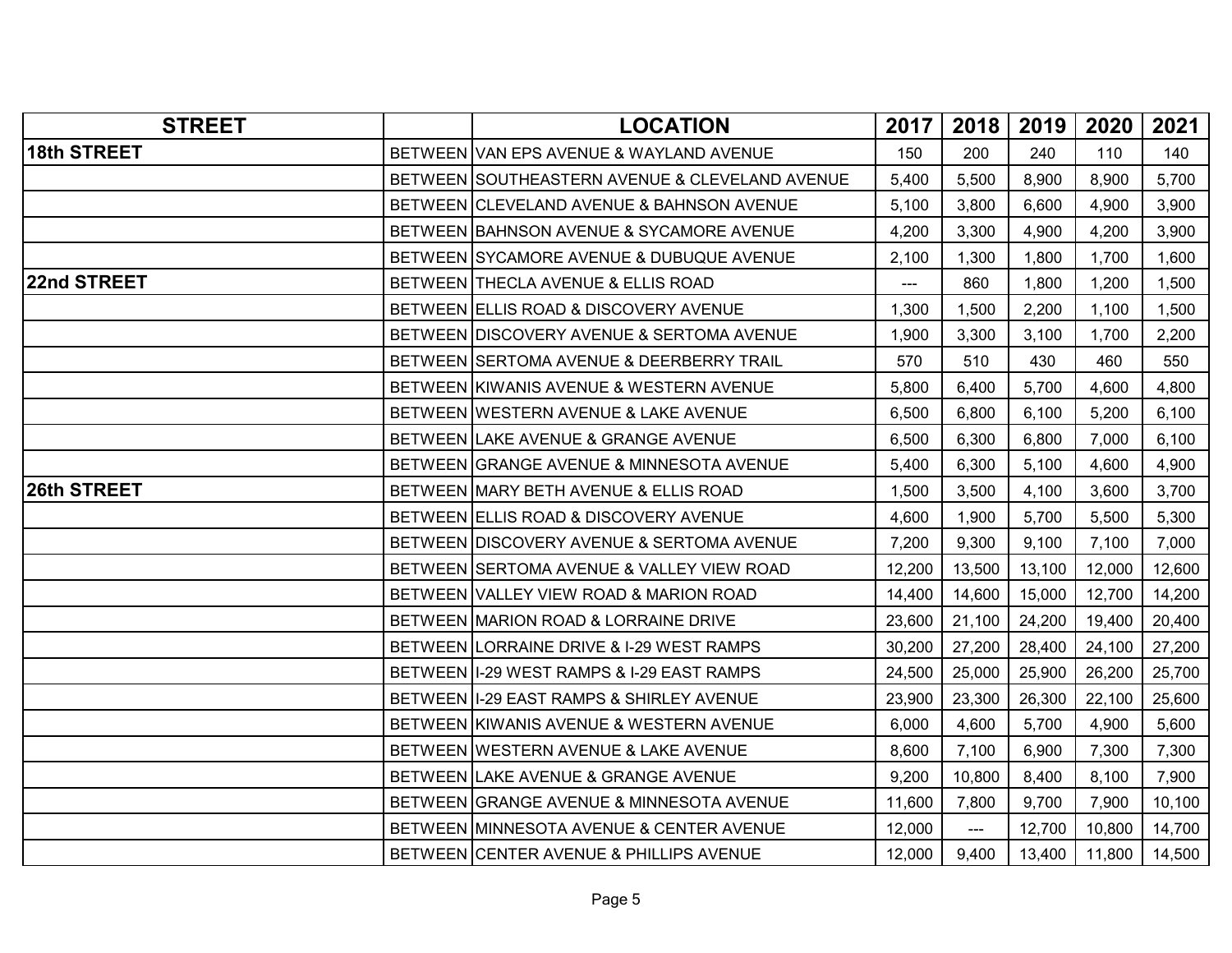| <b>STREET</b> | <b>LOCATION</b>                                | 2017   | 2018          | 2019   | 2020   | 2021   |
|---------------|------------------------------------------------|--------|---------------|--------|--------|--------|
| 18th STREET   | BETWEEN VAN EPS AVENUE & WAYLAND AVENUE        | 150    | 200           | 240    | 110    | 140    |
|               | BETWEEN SOUTHEASTERN AVENUE & CLEVELAND AVENUE | 5,400  | 5,500         | 8,900  | 8,900  | 5,700  |
|               | BETWEEN CLEVELAND AVENUE & BAHNSON AVENUE      | 5,100  | 3,800         | 6,600  | 4,900  | 3,900  |
|               | BETWEEN BAHNSON AVENUE & SYCAMORE AVENUE       | 4,200  | 3,300         | 4,900  | 4,200  | 3,900  |
|               | BETWEEN SYCAMORE AVENUE & DUBUQUE AVENUE       | 2,100  | 1,300         | 1,800  | 1,700  | 1,600  |
| 22nd STREET   | BETWEEN THECLA AVENUE & ELLIS ROAD             | $---$  | 860           | 1,800  | 1,200  | 1,500  |
|               | BETWEEN ELLIS ROAD & DISCOVERY AVENUE          | 1,300  | 1,500         | 2,200  | 1,100  | 1,500  |
|               | BETWEEN DISCOVERY AVENUE & SERTOMA AVENUE      | 1,900  | 3,300         | 3,100  | 1,700  | 2,200  |
|               | BETWEEN SERTOMA AVENUE & DEERBERRY TRAIL       | 570    | 510           | 430    | 460    | 550    |
|               | BETWEEN KIWANIS AVENUE & WESTERN AVENUE        | 5,800  | 6,400         | 5,700  | 4,600  | 4,800  |
|               | BETWEEN WESTERN AVENUE & LAKE AVENUE           | 6,500  | 6,800         | 6,100  | 5,200  | 6,100  |
|               | BETWEEN LAKE AVENUE & GRANGE AVENUE            | 6,500  | 6,300         | 6,800  | 7,000  | 6,100  |
|               | BETWEEN GRANGE AVENUE & MINNESOTA AVENUE       | 5,400  | 6,300         | 5,100  | 4,600  | 4,900  |
| 26th STREET   | BETWEEN MARY BETH AVENUE & ELLIS ROAD          | 1,500  | 3,500         | 4,100  | 3,600  | 3,700  |
|               | BETWEEN ELLIS ROAD & DISCOVERY AVENUE          | 4,600  | 1,900         | 5,700  | 5,500  | 5,300  |
|               | BETWEEN DISCOVERY AVENUE & SERTOMA AVENUE      | 7,200  | 9,300         | 9,100  | 7,100  | 7,000  |
|               | BETWEEN SERTOMA AVENUE & VALLEY VIEW ROAD      | 12,200 | 13,500        | 13,100 | 12,000 | 12,600 |
|               | BETWEEN VALLEY VIEW ROAD & MARION ROAD         | 14,400 | 14,600        | 15,000 | 12,700 | 14,200 |
|               | BETWEEN MARION ROAD & LORRAINE DRIVE           | 23,600 | 21,100        | 24,200 | 19,400 | 20,400 |
|               | BETWEEN LORRAINE DRIVE & I-29 WEST RAMPS       | 30,200 | 27,200        | 28,400 | 24,100 | 27,200 |
|               | BETWEEN II-29 WEST RAMPS & I-29 EAST RAMPS     | 24,500 | 25,000        | 25,900 | 26,200 | 25,700 |
|               | BETWEEN I-29 EAST RAMPS & SHIRLEY AVENUE       | 23,900 | 23,300        | 26,300 | 22,100 | 25,600 |
|               | BETWEEN KIWANIS AVENUE & WESTERN AVENUE        | 6,000  | 4,600         | 5,700  | 4,900  | 5,600  |
|               | BETWEEN WESTERN AVENUE & LAKE AVENUE           | 8,600  | 7,100         | 6,900  | 7,300  | 7,300  |
|               | BETWEEN LAKE AVENUE & GRANGE AVENUE            | 9,200  | 10,800        | 8,400  | 8,100  | 7,900  |
|               | BETWEEN GRANGE AVENUE & MINNESOTA AVENUE       | 11,600 | 7,800         | 9,700  | 7,900  | 10,100 |
|               | BETWEEN MINNESOTA AVENUE & CENTER AVENUE       | 12,000 | $\frac{1}{2}$ | 12,700 | 10,800 | 14,700 |
|               | BETWEEN CENTER AVENUE & PHILLIPS AVENUE        | 12,000 | 9,400         | 13,400 | 11,800 | 14,500 |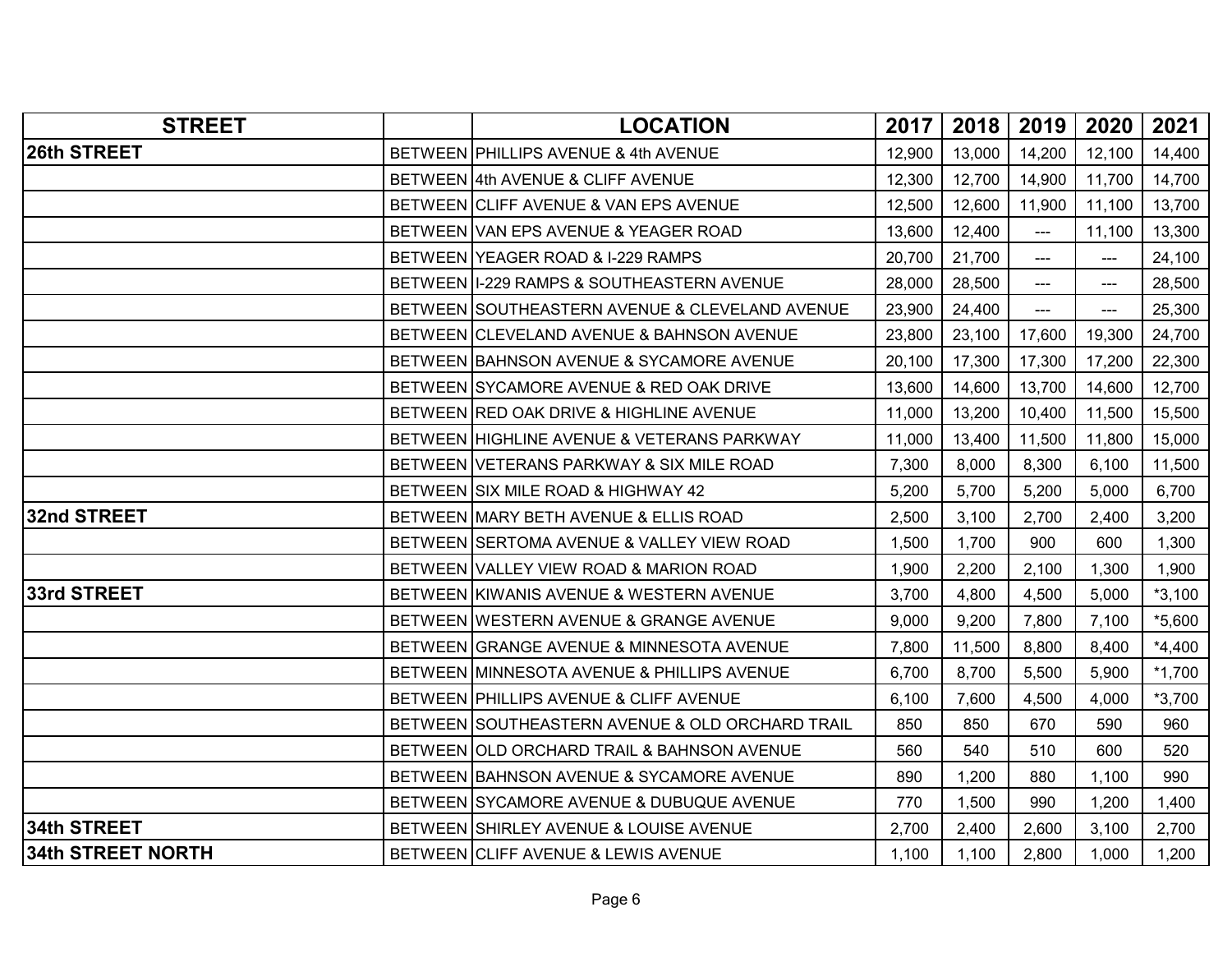| <b>STREET</b>            | <b>LOCATION</b>                                 | 2017   | 2018   | 2019          | 2020   | 2021     |
|--------------------------|-------------------------------------------------|--------|--------|---------------|--------|----------|
| 26th STREET              | BETWEEN PHILLIPS AVENUE & 4th AVENUE            | 12,900 | 13,000 | 14,200        | 12,100 | 14,400   |
|                          | BETWEEN 4th AVENUE & CLIFF AVENUE               | 12,300 | 12,700 | 14,900        | 11,700 | 14,700   |
|                          | BETWEEN CLIFF AVENUE & VAN EPS AVENUE           | 12,500 | 12,600 | 11,900        | 11,100 | 13,700   |
|                          | BETWEEN VAN EPS AVENUE & YEAGER ROAD            | 13,600 | 12,400 | ---           | 11,100 | 13,300   |
|                          | BETWEEN YEAGER ROAD & I-229 RAMPS               | 20,700 | 21,700 | $\frac{1}{2}$ | $---$  | 24,100   |
|                          | BETWEEN   1-229 RAMPS & SOUTHEASTERN AVENUE     | 28,000 | 28,500 | ---           | ---    | 28,500   |
|                          | BETWEEN SOUTHEASTERN AVENUE & CLEVELAND AVENUE  | 23,900 | 24,400 | ---           | ---    | 25,300   |
|                          | BETWEEN CLEVELAND AVENUE & BAHNSON AVENUE       | 23,800 | 23,100 | 17,600        | 19,300 | 24,700   |
|                          | BETWEEN BAHNSON AVENUE & SYCAMORE AVENUE        | 20,100 | 17,300 | 17,300        | 17,200 | 22,300   |
|                          | BETWEEN SYCAMORE AVENUE & RED OAK DRIVE         | 13,600 | 14,600 | 13,700        | 14,600 | 12,700   |
|                          | BETWEEN RED OAK DRIVE & HIGHLINE AVENUE         | 11,000 | 13,200 | 10,400        | 11,500 | 15,500   |
|                          | BETWEEN HIGHLINE AVENUE & VETERANS PARKWAY      | 11,000 | 13,400 | 11,500        | 11,800 | 15,000   |
|                          | BETWEEN VETERANS PARKWAY & SIX MILE ROAD        | 7,300  | 8,000  | 8,300         | 6,100  | 11,500   |
|                          | BETWEEN SIX MILE ROAD & HIGHWAY 42              | 5,200  | 5,700  | 5,200         | 5,000  | 6,700    |
| 32nd STREET              | BETWEEN MARY BETH AVENUE & ELLIS ROAD           | 2,500  | 3,100  | 2,700         | 2,400  | 3,200    |
|                          | BETWEEN SERTOMA AVENUE & VALLEY VIEW ROAD       | 1,500  | 1,700  | 900           | 600    | 1,300    |
|                          | BETWEEN VALLEY VIEW ROAD & MARION ROAD          | 1,900  | 2,200  | 2,100         | 1,300  | 1,900    |
| 33rd STREET              | BETWEEN KIWANIS AVENUE & WESTERN AVENUE         | 3,700  | 4,800  | 4,500         | 5,000  | $*3,100$ |
|                          | BETWEEN WESTERN AVENUE & GRANGE AVENUE          | 9,000  | 9,200  | 7,800         | 7,100  | $*5,600$ |
|                          | BETWEEN GRANGE AVENUE & MINNESOTA AVENUE        | 7,800  | 11,500 | 8,800         | 8,400  | $*4,400$ |
|                          | BETWEEN MINNESOTA AVENUE & PHILLIPS AVENUE      | 6,700  | 8,700  | 5,500         | 5,900  | $*1,700$ |
|                          | BETWEEN PHILLIPS AVENUE & CLIFF AVENUE          | 6,100  | 7,600  | 4,500         | 4,000  | $*3,700$ |
|                          | BETWEEN SOUTHEASTERN AVENUE & OLD ORCHARD TRAIL | 850    | 850    | 670           | 590    | 960      |
|                          | BETWEEN OLD ORCHARD TRAIL & BAHNSON AVENUE      | 560    | 540    | 510           | 600    | 520      |
|                          | BETWEEN BAHNSON AVENUE & SYCAMORE AVENUE        | 890    | 1,200  | 880           | 1,100  | 990      |
|                          | BETWEEN SYCAMORE AVENUE & DUBUQUE AVENUE        | 770    | 1,500  | 990           | 1,200  | 1,400    |
| 34th STREET              | BETWEEN SHIRLEY AVENUE & LOUISE AVENUE          | 2,700  | 2,400  | 2,600         | 3,100  | 2,700    |
| <b>34th STREET NORTH</b> | BETWEEN CLIFF AVENUE & LEWIS AVENUE             | 1,100  | 1,100  | 2,800         | 1,000  | 1,200    |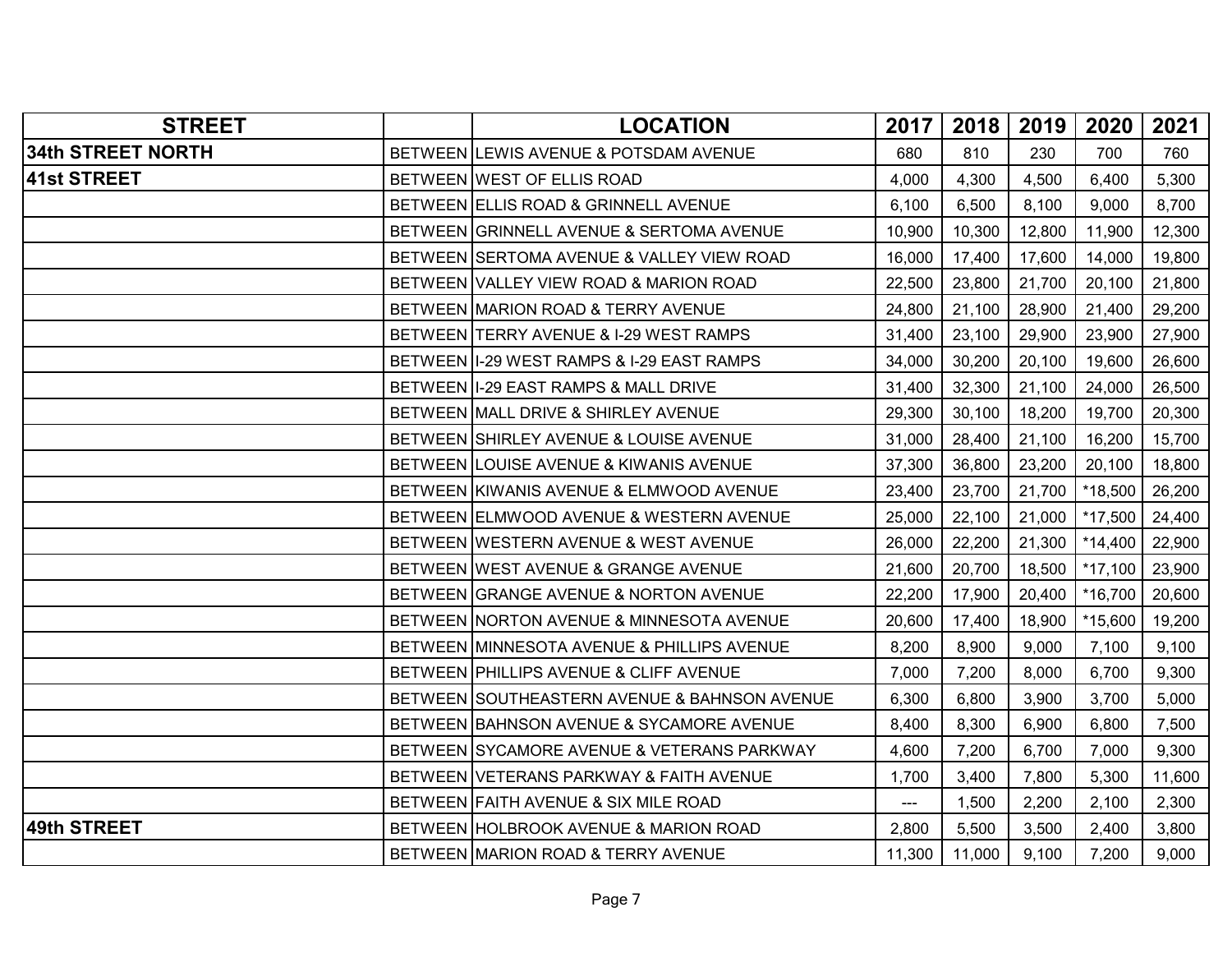| <b>STREET</b>            | <b>LOCATION</b>                              | 2017                     | 2018   | 2019   | 2020      | 2021   |
|--------------------------|----------------------------------------------|--------------------------|--------|--------|-----------|--------|
| <b>34th STREET NORTH</b> | BETWEEN LEWIS AVENUE & POTSDAM AVENUE        | 680                      | 810    | 230    | 700       | 760    |
| <b>41st STREET</b>       | BETWEEN WEST OF ELLIS ROAD                   | 4,000                    | 4,300  | 4,500  | 6,400     | 5,300  |
|                          | BETWEEN ELLIS ROAD & GRINNELL AVENUE         | 6,100                    | 6,500  | 8,100  | 9,000     | 8,700  |
|                          | BETWEEN GRINNELL AVENUE & SERTOMA AVENUE     | 10,900                   | 10,300 | 12,800 | 11,900    | 12,300 |
|                          | BETWEEN SERTOMA AVENUE & VALLEY VIEW ROAD    | 16,000                   | 17,400 | 17,600 | 14,000    | 19,800 |
|                          | BETWEEN VALLEY VIEW ROAD & MARION ROAD       | 22,500                   | 23,800 | 21,700 | 20,100    | 21,800 |
|                          | BETWEEN MARION ROAD & TERRY AVENUE           | 24,800                   | 21,100 | 28,900 | 21,400    | 29,200 |
|                          | BETWEEN TERRY AVENUE & I-29 WEST RAMPS       | 31,400                   | 23,100 | 29,900 | 23,900    | 27,900 |
|                          | BETWEEN I-29 WEST RAMPS & I-29 EAST RAMPS    | 34,000                   | 30,200 | 20,100 | 19,600    | 26,600 |
|                          | BETWEEN I-29 EAST RAMPS & MALL DRIVE         | 31,400                   | 32,300 | 21,100 | 24,000    | 26,500 |
|                          | BETWEEN MALL DRIVE & SHIRLEY AVENUE          | 29,300                   | 30,100 | 18,200 | 19,700    | 20,300 |
|                          | BETWEEN SHIRLEY AVENUE & LOUISE AVENUE       | 31,000                   | 28,400 | 21,100 | 16,200    | 15,700 |
|                          | BETWEEN LOUISE AVENUE & KIWANIS AVENUE       | 37,300                   | 36,800 | 23,200 | 20,100    | 18,800 |
|                          | BETWEEN KIWANIS AVENUE & ELMWOOD AVENUE      | 23,400                   | 23,700 | 21,700 | *18,500   | 26,200 |
|                          | BETWEEN ELMWOOD AVENUE & WESTERN AVENUE      | 25,000                   | 22,100 | 21,000 | *17,500   | 24,400 |
|                          | BETWEEN WESTERN AVENUE & WEST AVENUE         | 26,000                   | 22,200 | 21,300 | $*14,400$ | 22,900 |
|                          | BETWEEN WEST AVENUE & GRANGE AVENUE          | 21,600                   | 20,700 | 18,500 | $*17,100$ | 23,900 |
|                          | BETWEEN GRANGE AVENUE & NORTON AVENUE        | 22,200                   | 17,900 | 20,400 | *16,700   | 20,600 |
|                          | BETWEEN NORTON AVENUE & MINNESOTA AVENUE     | 20,600                   | 17,400 | 18,900 | *15,600   | 19,200 |
|                          | BETWEEN MINNESOTA AVENUE & PHILLIPS AVENUE   | 8,200                    | 8,900  | 9,000  | 7,100     | 9,100  |
|                          | BETWEEN PHILLIPS AVENUE & CLIFF AVENUE       | 7,000                    | 7,200  | 8,000  | 6,700     | 9,300  |
|                          | BETWEEN SOUTHEASTERN AVENUE & BAHNSON AVENUE | 6,300                    | 6,800  | 3,900  | 3,700     | 5,000  |
|                          | BETWEEN BAHNSON AVENUE & SYCAMORE AVENUE     | 8,400                    | 8,300  | 6,900  | 6,800     | 7,500  |
|                          | BETWEEN SYCAMORE AVENUE & VETERANS PARKWAY   | 4,600                    | 7,200  | 6,700  | 7,000     | 9,300  |
|                          | BETWEEN VETERANS PARKWAY & FAITH AVENUE      | 1,700                    | 3,400  | 7,800  | 5,300     | 11,600 |
|                          | BETWEEN FAITH AVENUE & SIX MILE ROAD         | $\overline{\phantom{a}}$ | 1,500  | 2,200  | 2,100     | 2,300  |
| <b>49th STREET</b>       | BETWEEN HOLBROOK AVENUE & MARION ROAD        | 2,800                    | 5,500  | 3,500  | 2,400     | 3,800  |
|                          | BETWEEN MARION ROAD & TERRY AVENUE           | 11,300                   | 11,000 | 9,100  | 7,200     | 9,000  |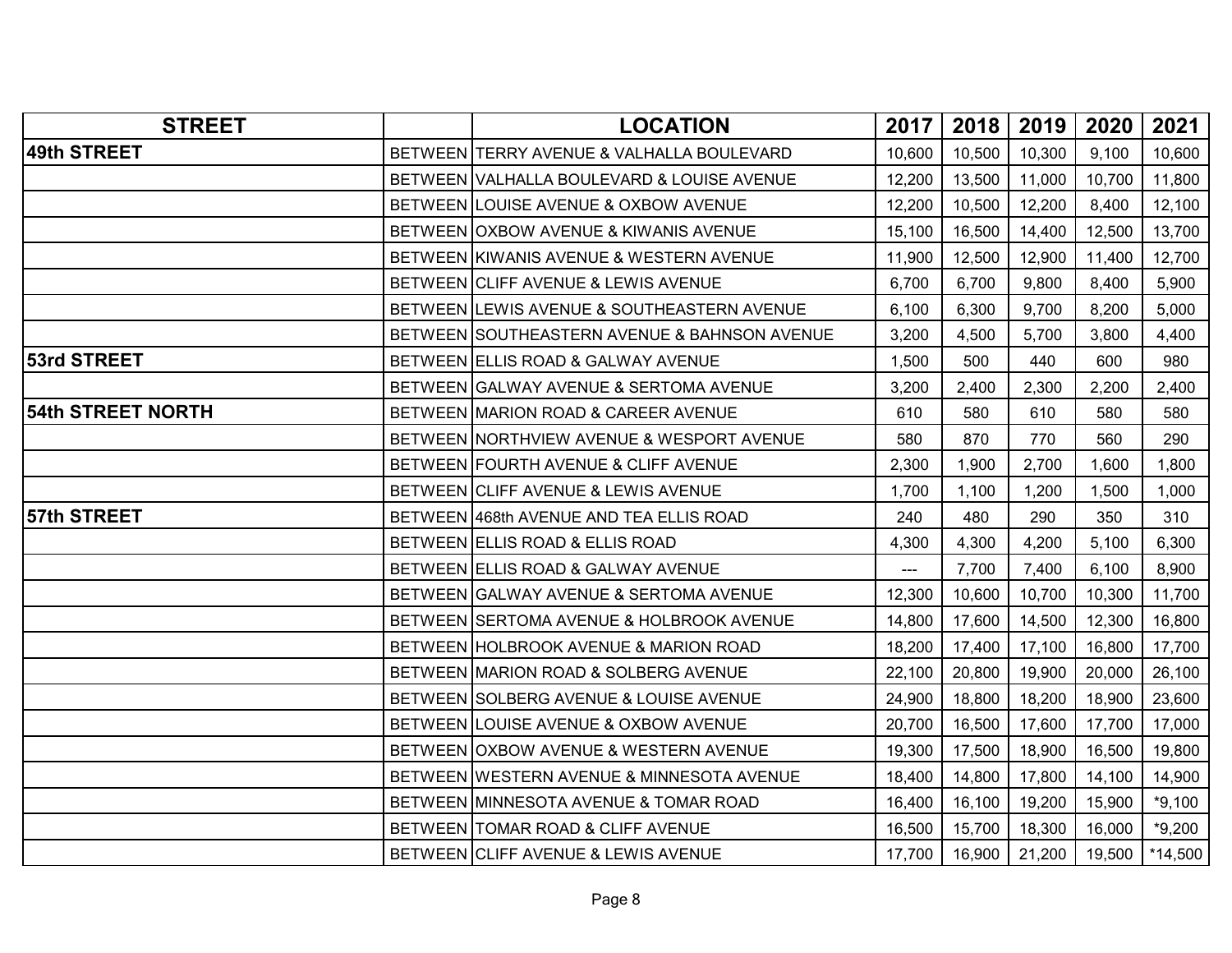| <b>STREET</b>            | <b>LOCATION</b>                              | 2017                       | 2018   | 2019   | 2020   | 2021      |
|--------------------------|----------------------------------------------|----------------------------|--------|--------|--------|-----------|
| 49th STREET              | BETWEEN TERRY AVENUE & VALHALLA BOULEVARD    | 10,600                     | 10,500 | 10,300 | 9,100  | 10,600    |
|                          | BETWEEN VALHALLA BOULEVARD & LOUISE AVENUE   | 12,200                     | 13,500 | 11,000 | 10,700 | 11,800    |
|                          | BETWEEN LOUISE AVENUE & OXBOW AVENUE         | 12,200                     | 10,500 | 12,200 | 8,400  | 12,100    |
|                          | BETWEEN OXBOW AVENUE & KIWANIS AVENUE        | 15,100                     | 16,500 | 14,400 | 12,500 | 13,700    |
|                          | BETWEEN KIWANIS AVENUE & WESTERN AVENUE      | 11,900                     | 12,500 | 12,900 | 11,400 | 12,700    |
|                          | BETWEEN CLIFF AVENUE & LEWIS AVENUE          | 6,700                      | 6,700  | 9,800  | 8,400  | 5,900     |
|                          | BETWEEN LEWIS AVENUE & SOUTHEASTERN AVENUE   | 6,100                      | 6,300  | 9,700  | 8,200  | 5,000     |
|                          | BETWEEN SOUTHEASTERN AVENUE & BAHNSON AVENUE | 3,200                      | 4,500  | 5,700  | 3,800  | 4,400     |
| <b>53rd STREET</b>       | BETWEEN ELLIS ROAD & GALWAY AVENUE           | 1,500                      | 500    | 440    | 600    | 980       |
|                          | BETWEEN GALWAY AVENUE & SERTOMA AVENUE       | 3,200                      | 2,400  | 2,300  | 2,200  | 2,400     |
| <b>54th STREET NORTH</b> | BETWEEN MARION ROAD & CAREER AVENUE          | 610                        | 580    | 610    | 580    | 580       |
|                          | BETWEEN NORTHVIEW AVENUE & WESPORT AVENUE    | 580                        | 870    | 770    | 560    | 290       |
|                          | BETWEEN FOURTH AVENUE & CLIFF AVENUE         | 2,300                      | 1,900  | 2,700  | 1,600  | 1,800     |
|                          | BETWEEN CLIFF AVENUE & LEWIS AVENUE          | 1,700                      | 1,100  | 1,200  | 1,500  | 1,000     |
| 57th STREET              | BETWEEN 468th AVENUE AND TEA ELLIS ROAD      | 240                        | 480    | 290    | 350    | 310       |
|                          | BETWEEN ELLIS ROAD & ELLIS ROAD              | 4,300                      | 4,300  | 4,200  | 5,100  | 6,300     |
|                          | BETWEEN ELLIS ROAD & GALWAY AVENUE           | $\qquad \qquad \text{---}$ | 7,700  | 7,400  | 6,100  | 8,900     |
|                          | BETWEEN GALWAY AVENUE & SERTOMA AVENUE       | 12,300                     | 10,600 | 10,700 | 10,300 | 11,700    |
|                          | BETWEEN SERTOMA AVENUE & HOLBROOK AVENUE     | 14,800                     | 17,600 | 14,500 | 12,300 | 16,800    |
|                          | BETWEEN HOLBROOK AVENUE & MARION ROAD        | 18,200                     | 17,400 | 17,100 | 16,800 | 17,700    |
|                          | BETWEEN MARION ROAD & SOLBERG AVENUE         | 22,100                     | 20,800 | 19,900 | 20,000 | 26,100    |
|                          | BETWEEN SOLBERG AVENUE & LOUISE AVENUE       | 24,900                     | 18,800 | 18,200 | 18,900 | 23,600    |
|                          | BETWEEN LOUISE AVENUE & OXBOW AVENUE         | 20,700                     | 16,500 | 17,600 | 17,700 | 17,000    |
|                          | BETWEEN OXBOW AVENUE & WESTERN AVENUE        | 19,300                     | 17,500 | 18,900 | 16,500 | 19,800    |
|                          | BETWEEN WESTERN AVENUE & MINNESOTA AVENUE    | 18,400                     | 14,800 | 17,800 | 14,100 | 14,900    |
|                          | BETWEEN MINNESOTA AVENUE & TOMAR ROAD        | 16,400                     | 16,100 | 19,200 | 15,900 | $*9,100$  |
|                          | BETWEEN TOMAR ROAD & CLIFF AVENUE            | 16,500                     | 15,700 | 18,300 | 16,000 | $*9,200$  |
|                          | BETWEEN CLIFF AVENUE & LEWIS AVENUE          | 17,700                     | 16,900 | 21,200 | 19,500 | $*14,500$ |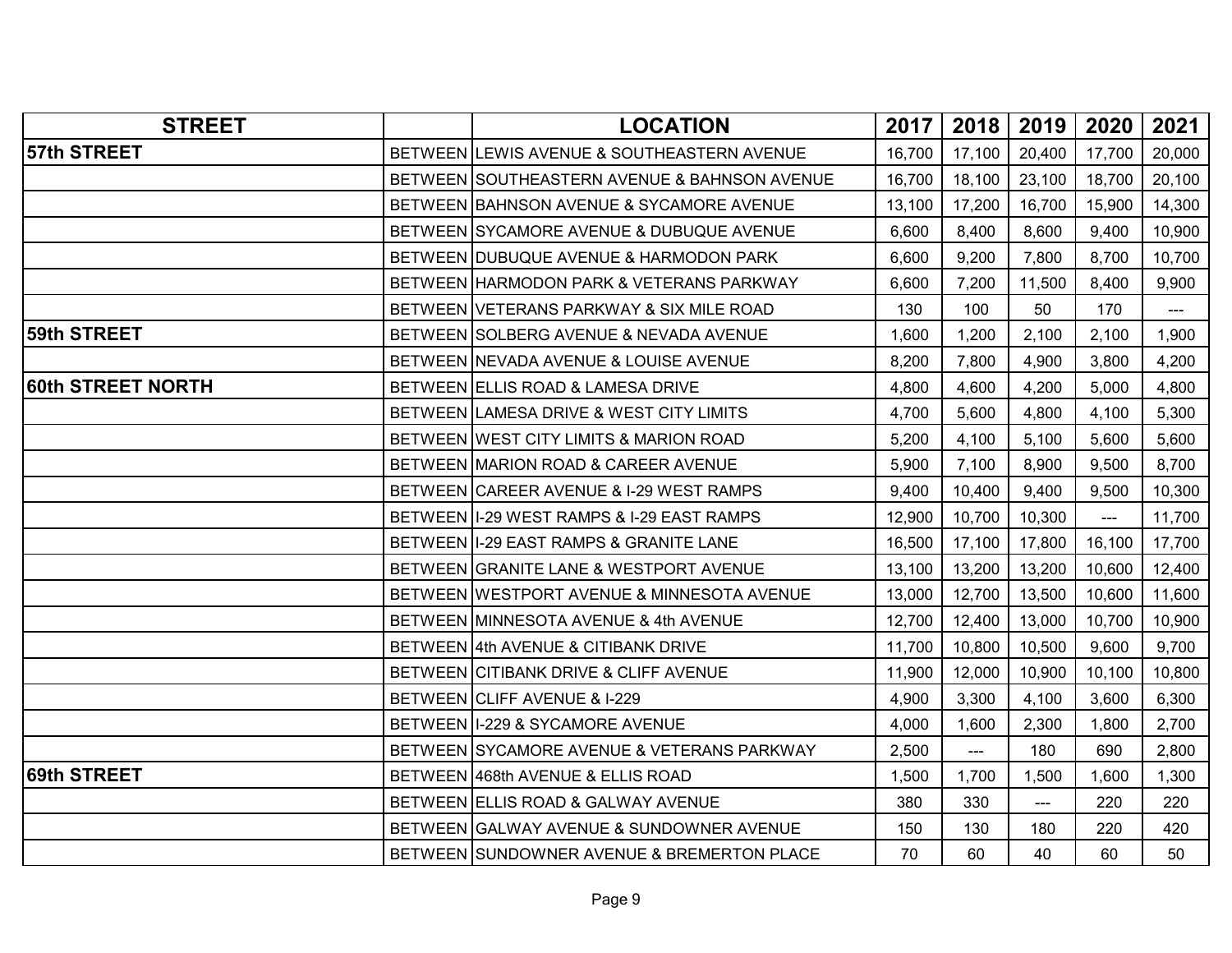| <b>STREET</b>     | <b>LOCATION</b>                              | 2017   | 2018   | 2019   | 2020           | 2021   |
|-------------------|----------------------------------------------|--------|--------|--------|----------------|--------|
| 57th STREET       | BETWEEN LEWIS AVENUE & SOUTHEASTERN AVENUE   | 16,700 | 17,100 | 20,400 | 17,700         | 20,000 |
|                   | BETWEEN SOUTHEASTERN AVENUE & BAHNSON AVENUE | 16,700 | 18,100 | 23,100 | 18,700         | 20,100 |
|                   | BETWEEN BAHNSON AVENUE & SYCAMORE AVENUE     | 13,100 | 17,200 | 16,700 | 15,900         | 14,300 |
|                   | BETWEEN SYCAMORE AVENUE & DUBUQUE AVENUE     | 6,600  | 8,400  | 8,600  | 9,400          | 10,900 |
|                   | BETWEEN DUBUQUE AVENUE & HARMODON PARK       | 6,600  | 9,200  | 7,800  | 8,700          | 10,700 |
|                   | BETWEEN HARMODON PARK & VETERANS PARKWAY     | 6,600  | 7,200  | 11,500 | 8,400          | 9,900  |
|                   | BETWEEN VETERANS PARKWAY & SIX MILE ROAD     | 130    | 100    | 50     | 170            | ---    |
| 59th STREET       | BETWEEN SOLBERG AVENUE & NEVADA AVENUE       | 1,600  | 1,200  | 2,100  | 2,100          | 1,900  |
|                   | BETWEEN NEVADA AVENUE & LOUISE AVENUE        | 8,200  | 7,800  | 4,900  | 3,800          | 4,200  |
| 60th STREET NORTH | BETWEEN ELLIS ROAD & LAMESA DRIVE            | 4,800  | 4,600  | 4,200  | 5,000          | 4,800  |
|                   | BETWEEN LAMESA DRIVE & WEST CITY LIMITS      | 4,700  | 5,600  | 4,800  | 4,100          | 5,300  |
|                   | BETWEEN WEST CITY LIMITS & MARION ROAD       | 5,200  | 4,100  | 5,100  | 5,600          | 5,600  |
|                   | BETWEEN MARION ROAD & CAREER AVENUE          | 5,900  | 7,100  | 8,900  | 9,500          | 8,700  |
|                   | BETWEEN CAREER AVENUE & I-29 WEST RAMPS      | 9,400  | 10,400 | 9,400  | 9,500          | 10,300 |
|                   | BETWEEN II-29 WEST RAMPS & I-29 EAST RAMPS   | 12,900 | 10,700 | 10,300 | $\overline{a}$ | 11,700 |
|                   | BETWEEN I-29 EAST RAMPS & GRANITE LANE       | 16,500 | 17,100 | 17,800 | 16,100         | 17,700 |
|                   | BETWEEN GRANITE LANE & WESTPORT AVENUE       | 13,100 | 13,200 | 13,200 | 10,600         | 12,400 |
|                   | BETWEEN WESTPORT AVENUE & MINNESOTA AVENUE   | 13,000 | 12,700 | 13,500 | 10,600         | 11,600 |
|                   | BETWEEN MINNESOTA AVENUE & 4th AVENUE        | 12,700 | 12,400 | 13,000 | 10,700         | 10,900 |
|                   | BETWEEN 4th AVENUE & CITIBANK DRIVE          | 11,700 | 10,800 | 10,500 | 9,600          | 9,700  |
|                   | BETWEEN CITIBANK DRIVE & CLIFF AVENUE        | 11,900 | 12,000 | 10,900 | 10,100         | 10,800 |
|                   | BETWEEN CLIFF AVENUE & I-229                 | 4,900  | 3,300  | 4,100  | 3,600          | 6,300  |
|                   | BETWEEN I-229 & SYCAMORE AVENUE              | 4,000  | 1,600  | 2,300  | 1,800          | 2,700  |
|                   | BETWEEN SYCAMORE AVENUE & VETERANS PARKWAY   | 2,500  | ---    | 180    | 690            | 2,800  |
| 69th STREET       | BETWEEN 468th AVENUE & ELLIS ROAD            | 1,500  | 1,700  | 1,500  | 1,600          | 1,300  |
|                   | BETWEEN ELLIS ROAD & GALWAY AVENUE           | 380    | 330    | ---    | 220            | 220    |
|                   | BETWEEN GALWAY AVENUE & SUNDOWNER AVENUE     | 150    | 130    | 180    | 220            | 420    |
|                   | BETWEEN SUNDOWNER AVENUE & BREMERTON PLACE   | 70     | 60     | 40     | 60             | 50     |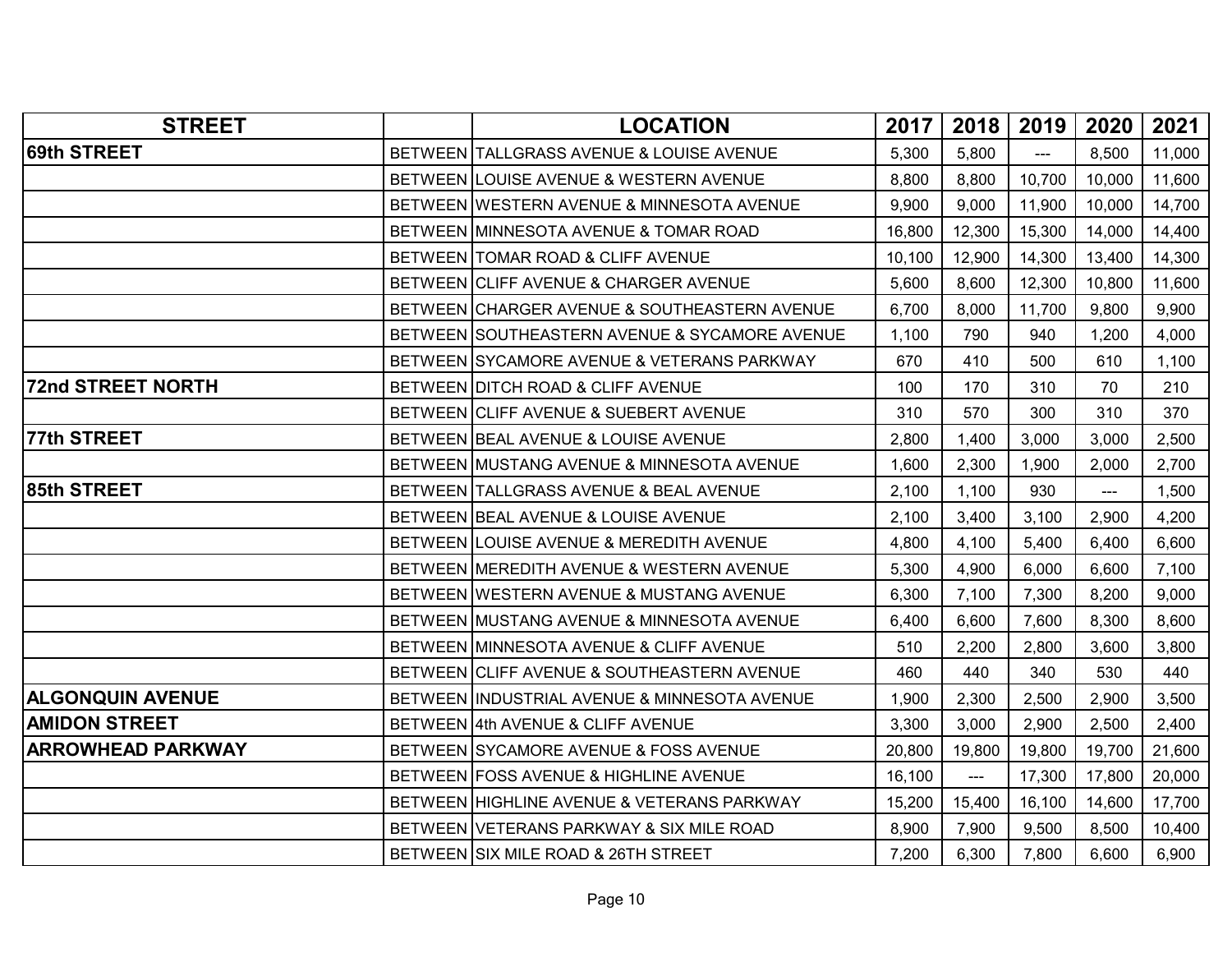| <b>69th STREET</b><br>5,800<br>8,500<br>BETWEEN TALLGRASS AVENUE & LOUISE AVENUE<br>5,300<br>11,000<br>---<br>BETWEEN LOUISE AVENUE & WESTERN AVENUE<br>8,800<br>8,800<br>10,700<br>10,000<br>11,600<br>9,900<br>9,000<br>11,900<br>10,000<br>14,700<br>BETWEEN WESTERN AVENUE & MINNESOTA AVENUE<br>12,300<br>15,300<br>BETWEEN MINNESOTA AVENUE & TOMAR ROAD<br>16,800<br>14,000<br>14,400<br>BETWEEN TOMAR ROAD & CLIFF AVENUE<br>12,900<br>14,300<br>14,300<br>10,100<br>13,400<br>8,600<br>12,300<br>BETWEEN CLIFF AVENUE & CHARGER AVENUE<br>5,600<br>10,800<br>11,600<br>BETWEEN CHARGER AVENUE & SOUTHEASTERN AVENUE<br>11,700<br>6,700<br>8,000<br>9,800<br>9,900<br>BETWEEN SOUTHEASTERN AVENUE & SYCAMORE AVENUE<br>940<br>1,200<br>4,000<br>1,100<br>790<br>BETWEEN SYCAMORE AVENUE & VETERANS PARKWAY<br>670<br>410<br>500<br>610<br>1,100<br>BETWEEN DITCH ROAD & CLIFF AVENUE<br>100<br>170<br>310<br>70<br>210<br>370<br>BETWEEN CLIFF AVENUE & SUEBERT AVENUE<br>310<br>570<br>300<br>310<br>77th STREET<br>BETWEEN BEAL AVENUE & LOUISE AVENUE<br>3,000<br>2,800<br>1,400<br>3,000<br>2,500<br>1,600<br>2,300<br>1,900<br>BETWEEN MUSTANG AVENUE & MINNESOTA AVENUE<br>2,000<br>2,700<br>BETWEEN TALLGRASS AVENUE & BEAL AVENUE<br>1,100<br>930<br>1,500<br>2,100<br>$---$<br>3,100<br>4,200<br>BETWEEN BEAL AVENUE & LOUISE AVENUE<br>2,100<br>3,400<br>2,900<br>BETWEEN LOUISE AVENUE & MEREDITH AVENUE<br>4,800<br>4,100<br>5,400<br>6,400<br>6,600<br>5,300<br>4,900<br>6,000<br>6,600<br>7,100<br>BETWEEN MEREDITH AVENUE & WESTERN AVENUE<br>BETWEEN WESTERN AVENUE & MUSTANG AVENUE<br>7,300<br>6,300<br>7,100<br>8,200<br>9,000<br>8,300<br>8,600<br>BETWEEN MUSTANG AVENUE & MINNESOTA AVENUE<br>6,400<br>6,600<br>7,600<br>BETWEEN MINNESOTA AVENUE & CLIFF AVENUE<br>510<br>2,200<br>2,800<br>3,600<br>3,800<br>440<br>340<br>530<br>BETWEEN CLIFF AVENUE & SOUTHEASTERN AVENUE<br>460<br>440<br>1,900<br>2,300<br>2,500<br>2,900<br>3,500<br>BETWEEN INDUSTRIAL AVENUE & MINNESOTA AVENUE<br><b>AMIDON STREET</b><br>BETWEEN 4th AVENUE & CLIFF AVENUE<br>3,000<br>2,900<br>2,500<br>2,400<br>3,300<br><b>ARROWHEAD PARKWAY</b><br>BETWEEN SYCAMORE AVENUE & FOSS AVENUE<br>20,800<br>19,800<br>19,800<br>19,700<br>21,600<br>BETWEEN FOSS AVENUE & HIGHLINE AVENUE<br>17,300<br>17,800<br>16,100<br>20,000<br>$\overline{a}$<br>BETWEEN HIGHLINE AVENUE & VETERANS PARKWAY<br>15,200<br>15,400<br>16,100<br>14,600<br>17,700<br>7,900<br>8,500<br>BETWEEN VETERANS PARKWAY & SIX MILE ROAD<br>8,900<br>9,500<br>10,400<br>BETWEEN SIX MILE ROAD & 26TH STREET<br>7,200<br>6,300<br>7,800<br>6,600<br>6,900 | <b>STREET</b>            | <b>LOCATION</b> | 2017 | 2018 | 2019 | 2020 | 2021 |
|-------------------------------------------------------------------------------------------------------------------------------------------------------------------------------------------------------------------------------------------------------------------------------------------------------------------------------------------------------------------------------------------------------------------------------------------------------------------------------------------------------------------------------------------------------------------------------------------------------------------------------------------------------------------------------------------------------------------------------------------------------------------------------------------------------------------------------------------------------------------------------------------------------------------------------------------------------------------------------------------------------------------------------------------------------------------------------------------------------------------------------------------------------------------------------------------------------------------------------------------------------------------------------------------------------------------------------------------------------------------------------------------------------------------------------------------------------------------------------------------------------------------------------------------------------------------------------------------------------------------------------------------------------------------------------------------------------------------------------------------------------------------------------------------------------------------------------------------------------------------------------------------------------------------------------------------------------------------------------------------------------------------------------------------------------------------------------------------------------------------------------------------------------------------------------------------------------------------------------------------------------------------------------------------------------------------------------------------------------------------------------------------------------------------------------------------------------------------------------------------------------------------------------------------------------------------------------------------------------------------------------------------|--------------------------|-----------------|------|------|------|------|------|
|                                                                                                                                                                                                                                                                                                                                                                                                                                                                                                                                                                                                                                                                                                                                                                                                                                                                                                                                                                                                                                                                                                                                                                                                                                                                                                                                                                                                                                                                                                                                                                                                                                                                                                                                                                                                                                                                                                                                                                                                                                                                                                                                                                                                                                                                                                                                                                                                                                                                                                                                                                                                                                           |                          |                 |      |      |      |      |      |
|                                                                                                                                                                                                                                                                                                                                                                                                                                                                                                                                                                                                                                                                                                                                                                                                                                                                                                                                                                                                                                                                                                                                                                                                                                                                                                                                                                                                                                                                                                                                                                                                                                                                                                                                                                                                                                                                                                                                                                                                                                                                                                                                                                                                                                                                                                                                                                                                                                                                                                                                                                                                                                           |                          |                 |      |      |      |      |      |
|                                                                                                                                                                                                                                                                                                                                                                                                                                                                                                                                                                                                                                                                                                                                                                                                                                                                                                                                                                                                                                                                                                                                                                                                                                                                                                                                                                                                                                                                                                                                                                                                                                                                                                                                                                                                                                                                                                                                                                                                                                                                                                                                                                                                                                                                                                                                                                                                                                                                                                                                                                                                                                           |                          |                 |      |      |      |      |      |
|                                                                                                                                                                                                                                                                                                                                                                                                                                                                                                                                                                                                                                                                                                                                                                                                                                                                                                                                                                                                                                                                                                                                                                                                                                                                                                                                                                                                                                                                                                                                                                                                                                                                                                                                                                                                                                                                                                                                                                                                                                                                                                                                                                                                                                                                                                                                                                                                                                                                                                                                                                                                                                           |                          |                 |      |      |      |      |      |
|                                                                                                                                                                                                                                                                                                                                                                                                                                                                                                                                                                                                                                                                                                                                                                                                                                                                                                                                                                                                                                                                                                                                                                                                                                                                                                                                                                                                                                                                                                                                                                                                                                                                                                                                                                                                                                                                                                                                                                                                                                                                                                                                                                                                                                                                                                                                                                                                                                                                                                                                                                                                                                           |                          |                 |      |      |      |      |      |
|                                                                                                                                                                                                                                                                                                                                                                                                                                                                                                                                                                                                                                                                                                                                                                                                                                                                                                                                                                                                                                                                                                                                                                                                                                                                                                                                                                                                                                                                                                                                                                                                                                                                                                                                                                                                                                                                                                                                                                                                                                                                                                                                                                                                                                                                                                                                                                                                                                                                                                                                                                                                                                           |                          |                 |      |      |      |      |      |
|                                                                                                                                                                                                                                                                                                                                                                                                                                                                                                                                                                                                                                                                                                                                                                                                                                                                                                                                                                                                                                                                                                                                                                                                                                                                                                                                                                                                                                                                                                                                                                                                                                                                                                                                                                                                                                                                                                                                                                                                                                                                                                                                                                                                                                                                                                                                                                                                                                                                                                                                                                                                                                           |                          |                 |      |      |      |      |      |
|                                                                                                                                                                                                                                                                                                                                                                                                                                                                                                                                                                                                                                                                                                                                                                                                                                                                                                                                                                                                                                                                                                                                                                                                                                                                                                                                                                                                                                                                                                                                                                                                                                                                                                                                                                                                                                                                                                                                                                                                                                                                                                                                                                                                                                                                                                                                                                                                                                                                                                                                                                                                                                           |                          |                 |      |      |      |      |      |
|                                                                                                                                                                                                                                                                                                                                                                                                                                                                                                                                                                                                                                                                                                                                                                                                                                                                                                                                                                                                                                                                                                                                                                                                                                                                                                                                                                                                                                                                                                                                                                                                                                                                                                                                                                                                                                                                                                                                                                                                                                                                                                                                                                                                                                                                                                                                                                                                                                                                                                                                                                                                                                           |                          |                 |      |      |      |      |      |
|                                                                                                                                                                                                                                                                                                                                                                                                                                                                                                                                                                                                                                                                                                                                                                                                                                                                                                                                                                                                                                                                                                                                                                                                                                                                                                                                                                                                                                                                                                                                                                                                                                                                                                                                                                                                                                                                                                                                                                                                                                                                                                                                                                                                                                                                                                                                                                                                                                                                                                                                                                                                                                           | <b>72nd STREET NORTH</b> |                 |      |      |      |      |      |
|                                                                                                                                                                                                                                                                                                                                                                                                                                                                                                                                                                                                                                                                                                                                                                                                                                                                                                                                                                                                                                                                                                                                                                                                                                                                                                                                                                                                                                                                                                                                                                                                                                                                                                                                                                                                                                                                                                                                                                                                                                                                                                                                                                                                                                                                                                                                                                                                                                                                                                                                                                                                                                           |                          |                 |      |      |      |      |      |
|                                                                                                                                                                                                                                                                                                                                                                                                                                                                                                                                                                                                                                                                                                                                                                                                                                                                                                                                                                                                                                                                                                                                                                                                                                                                                                                                                                                                                                                                                                                                                                                                                                                                                                                                                                                                                                                                                                                                                                                                                                                                                                                                                                                                                                                                                                                                                                                                                                                                                                                                                                                                                                           |                          |                 |      |      |      |      |      |
|                                                                                                                                                                                                                                                                                                                                                                                                                                                                                                                                                                                                                                                                                                                                                                                                                                                                                                                                                                                                                                                                                                                                                                                                                                                                                                                                                                                                                                                                                                                                                                                                                                                                                                                                                                                                                                                                                                                                                                                                                                                                                                                                                                                                                                                                                                                                                                                                                                                                                                                                                                                                                                           |                          |                 |      |      |      |      |      |
|                                                                                                                                                                                                                                                                                                                                                                                                                                                                                                                                                                                                                                                                                                                                                                                                                                                                                                                                                                                                                                                                                                                                                                                                                                                                                                                                                                                                                                                                                                                                                                                                                                                                                                                                                                                                                                                                                                                                                                                                                                                                                                                                                                                                                                                                                                                                                                                                                                                                                                                                                                                                                                           | 85th STREET              |                 |      |      |      |      |      |
|                                                                                                                                                                                                                                                                                                                                                                                                                                                                                                                                                                                                                                                                                                                                                                                                                                                                                                                                                                                                                                                                                                                                                                                                                                                                                                                                                                                                                                                                                                                                                                                                                                                                                                                                                                                                                                                                                                                                                                                                                                                                                                                                                                                                                                                                                                                                                                                                                                                                                                                                                                                                                                           |                          |                 |      |      |      |      |      |
|                                                                                                                                                                                                                                                                                                                                                                                                                                                                                                                                                                                                                                                                                                                                                                                                                                                                                                                                                                                                                                                                                                                                                                                                                                                                                                                                                                                                                                                                                                                                                                                                                                                                                                                                                                                                                                                                                                                                                                                                                                                                                                                                                                                                                                                                                                                                                                                                                                                                                                                                                                                                                                           |                          |                 |      |      |      |      |      |
|                                                                                                                                                                                                                                                                                                                                                                                                                                                                                                                                                                                                                                                                                                                                                                                                                                                                                                                                                                                                                                                                                                                                                                                                                                                                                                                                                                                                                                                                                                                                                                                                                                                                                                                                                                                                                                                                                                                                                                                                                                                                                                                                                                                                                                                                                                                                                                                                                                                                                                                                                                                                                                           |                          |                 |      |      |      |      |      |
|                                                                                                                                                                                                                                                                                                                                                                                                                                                                                                                                                                                                                                                                                                                                                                                                                                                                                                                                                                                                                                                                                                                                                                                                                                                                                                                                                                                                                                                                                                                                                                                                                                                                                                                                                                                                                                                                                                                                                                                                                                                                                                                                                                                                                                                                                                                                                                                                                                                                                                                                                                                                                                           |                          |                 |      |      |      |      |      |
|                                                                                                                                                                                                                                                                                                                                                                                                                                                                                                                                                                                                                                                                                                                                                                                                                                                                                                                                                                                                                                                                                                                                                                                                                                                                                                                                                                                                                                                                                                                                                                                                                                                                                                                                                                                                                                                                                                                                                                                                                                                                                                                                                                                                                                                                                                                                                                                                                                                                                                                                                                                                                                           |                          |                 |      |      |      |      |      |
|                                                                                                                                                                                                                                                                                                                                                                                                                                                                                                                                                                                                                                                                                                                                                                                                                                                                                                                                                                                                                                                                                                                                                                                                                                                                                                                                                                                                                                                                                                                                                                                                                                                                                                                                                                                                                                                                                                                                                                                                                                                                                                                                                                                                                                                                                                                                                                                                                                                                                                                                                                                                                                           |                          |                 |      |      |      |      |      |
|                                                                                                                                                                                                                                                                                                                                                                                                                                                                                                                                                                                                                                                                                                                                                                                                                                                                                                                                                                                                                                                                                                                                                                                                                                                                                                                                                                                                                                                                                                                                                                                                                                                                                                                                                                                                                                                                                                                                                                                                                                                                                                                                                                                                                                                                                                                                                                                                                                                                                                                                                                                                                                           |                          |                 |      |      |      |      |      |
|                                                                                                                                                                                                                                                                                                                                                                                                                                                                                                                                                                                                                                                                                                                                                                                                                                                                                                                                                                                                                                                                                                                                                                                                                                                                                                                                                                                                                                                                                                                                                                                                                                                                                                                                                                                                                                                                                                                                                                                                                                                                                                                                                                                                                                                                                                                                                                                                                                                                                                                                                                                                                                           | <b>ALGONQUIN AVENUE</b>  |                 |      |      |      |      |      |
|                                                                                                                                                                                                                                                                                                                                                                                                                                                                                                                                                                                                                                                                                                                                                                                                                                                                                                                                                                                                                                                                                                                                                                                                                                                                                                                                                                                                                                                                                                                                                                                                                                                                                                                                                                                                                                                                                                                                                                                                                                                                                                                                                                                                                                                                                                                                                                                                                                                                                                                                                                                                                                           |                          |                 |      |      |      |      |      |
|                                                                                                                                                                                                                                                                                                                                                                                                                                                                                                                                                                                                                                                                                                                                                                                                                                                                                                                                                                                                                                                                                                                                                                                                                                                                                                                                                                                                                                                                                                                                                                                                                                                                                                                                                                                                                                                                                                                                                                                                                                                                                                                                                                                                                                                                                                                                                                                                                                                                                                                                                                                                                                           |                          |                 |      |      |      |      |      |
|                                                                                                                                                                                                                                                                                                                                                                                                                                                                                                                                                                                                                                                                                                                                                                                                                                                                                                                                                                                                                                                                                                                                                                                                                                                                                                                                                                                                                                                                                                                                                                                                                                                                                                                                                                                                                                                                                                                                                                                                                                                                                                                                                                                                                                                                                                                                                                                                                                                                                                                                                                                                                                           |                          |                 |      |      |      |      |      |
|                                                                                                                                                                                                                                                                                                                                                                                                                                                                                                                                                                                                                                                                                                                                                                                                                                                                                                                                                                                                                                                                                                                                                                                                                                                                                                                                                                                                                                                                                                                                                                                                                                                                                                                                                                                                                                                                                                                                                                                                                                                                                                                                                                                                                                                                                                                                                                                                                                                                                                                                                                                                                                           |                          |                 |      |      |      |      |      |
|                                                                                                                                                                                                                                                                                                                                                                                                                                                                                                                                                                                                                                                                                                                                                                                                                                                                                                                                                                                                                                                                                                                                                                                                                                                                                                                                                                                                                                                                                                                                                                                                                                                                                                                                                                                                                                                                                                                                                                                                                                                                                                                                                                                                                                                                                                                                                                                                                                                                                                                                                                                                                                           |                          |                 |      |      |      |      |      |
|                                                                                                                                                                                                                                                                                                                                                                                                                                                                                                                                                                                                                                                                                                                                                                                                                                                                                                                                                                                                                                                                                                                                                                                                                                                                                                                                                                                                                                                                                                                                                                                                                                                                                                                                                                                                                                                                                                                                                                                                                                                                                                                                                                                                                                                                                                                                                                                                                                                                                                                                                                                                                                           |                          |                 |      |      |      |      |      |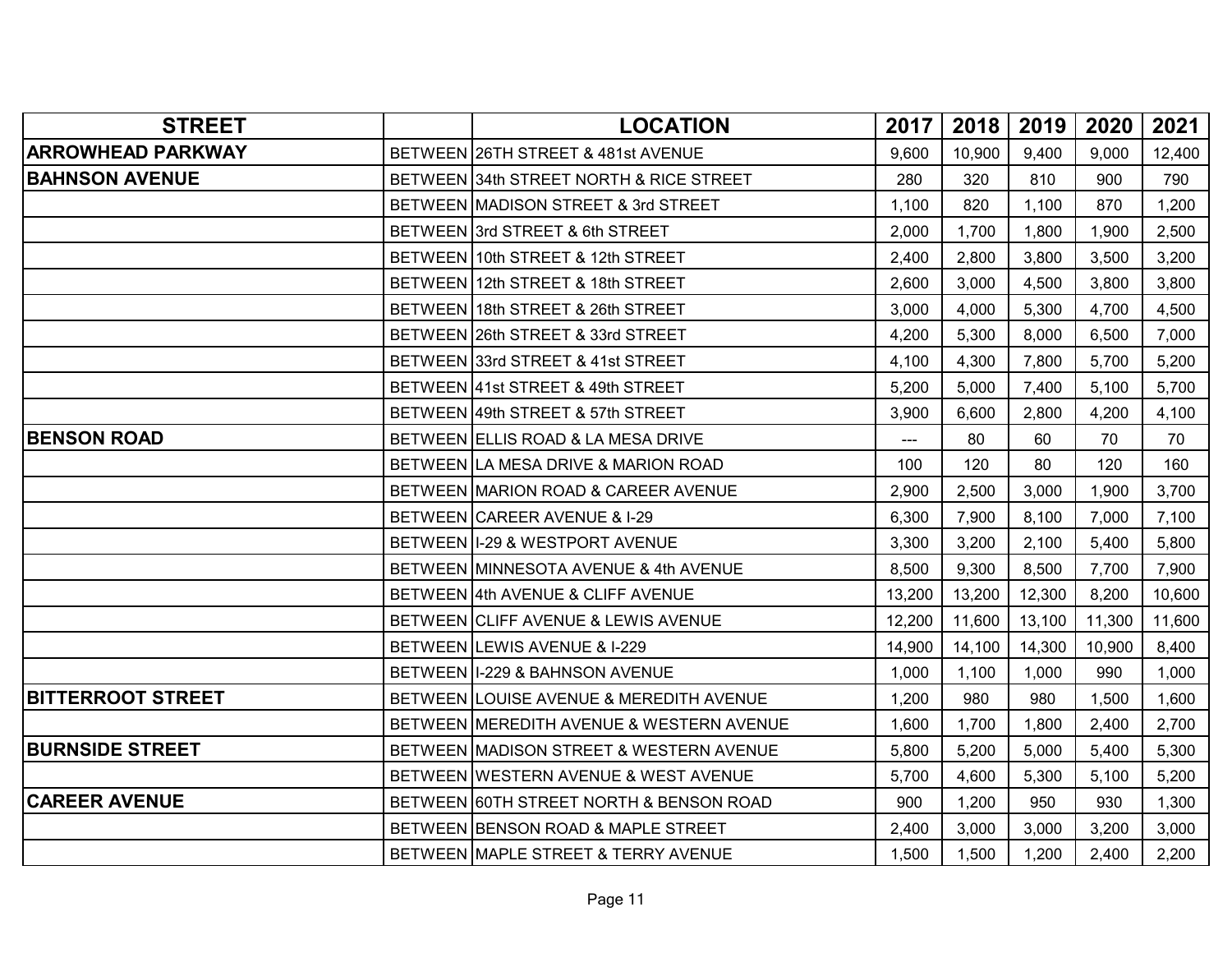| <b>STREET</b>            | <b>LOCATION</b>                          | 2017                | 2018   | 2019   | 2020   | 2021   |
|--------------------------|------------------------------------------|---------------------|--------|--------|--------|--------|
| <b>ARROWHEAD PARKWAY</b> | BETWEEN 26TH STREET & 481st AVENUE       | 9,600               | 10,900 | 9,400  | 9,000  | 12,400 |
| <b>BAHNSON AVENUE</b>    | BETWEEN 34th STREET NORTH & RICE STREET  | 280                 | 320    | 810    | 900    | 790    |
|                          | BETWEEN MADISON STREET & 3rd STREET      | 1,100               | 820    | 1,100  | 870    | 1,200  |
|                          | BETWEEN 3rd STREET & 6th STREET          | 2,000               | 1,700  | 1,800  | 1,900  | 2,500  |
|                          | BETWEEN 10th STREET & 12th STREET        | 2,400               | 2,800  | 3,800  | 3,500  | 3,200  |
|                          | BETWEEN 12th STREET & 18th STREET        | 2,600               | 3,000  | 4,500  | 3,800  | 3,800  |
|                          | BETWEEN 18th STREET & 26th STREET        | 3,000               | 4,000  | 5,300  | 4,700  | 4,500  |
|                          | BETWEEN 26th STREET & 33rd STREET        | 4,200               | 5,300  | 8,000  | 6,500  | 7,000  |
|                          | BETWEEN 33rd STREET & 41st STREET        | 4,100               | 4,300  | 7,800  | 5,700  | 5,200  |
|                          | BETWEEN 41st STREET & 49th STREET        | 5,200               | 5,000  | 7,400  | 5,100  | 5,700  |
|                          | BETWEEN 49th STREET & 57th STREET        | 3,900               | 6,600  | 2,800  | 4,200  | 4,100  |
| <b>BENSON ROAD</b>       | BETWEEN ELLIS ROAD & LA MESA DRIVE       | $\qquad \qquad - -$ | 80     | 60     | 70     | 70     |
|                          | BETWEEN LA MESA DRIVE & MARION ROAD      | 100                 | 120    | 80     | 120    | 160    |
|                          | BETWEEN MARION ROAD & CAREER AVENUE      | 2,900               | 2,500  | 3,000  | 1,900  | 3,700  |
|                          | BETWEEN CAREER AVENUE & I-29             | 6,300               | 7,900  | 8,100  | 7,000  | 7,100  |
|                          | BETWEEN I-29 & WESTPORT AVENUE           | 3,300               | 3,200  | 2,100  | 5,400  | 5,800  |
|                          | BETWEEN MINNESOTA AVENUE & 4th AVENUE    | 8,500               | 9,300  | 8,500  | 7,700  | 7,900  |
|                          | BETWEEN 4th AVENUE & CLIFF AVENUE        | 13,200              | 13,200 | 12,300 | 8,200  | 10,600 |
|                          | BETWEEN CLIFF AVENUE & LEWIS AVENUE      | 12,200              | 11,600 | 13,100 | 11,300 | 11,600 |
|                          | BETWEEN LEWIS AVENUE & I-229             | 14,900              | 14,100 | 14,300 | 10,900 | 8,400  |
|                          | BETWEEN II-229 & BAHNSON AVENUE          | 1,000               | 1,100  | 1,000  | 990    | 1,000  |
| <b>BITTERROOT STREET</b> | BETWEEN LOUISE AVENUE & MEREDITH AVENUE  | 1,200               | 980    | 980    | 1,500  | 1,600  |
|                          | BETWEEN MEREDITH AVENUE & WESTERN AVENUE | 1,600               | 1,700  | 1,800  | 2,400  | 2,700  |
| <b>BURNSIDE STREET</b>   | BETWEEN MADISON STREET & WESTERN AVENUE  | 5,800               | 5,200  | 5,000  | 5,400  | 5,300  |
|                          | BETWEEN WESTERN AVENUE & WEST AVENUE     | 5,700               | 4,600  | 5,300  | 5,100  | 5,200  |
| <b>CAREER AVENUE</b>     | BETWEEN 60TH STREET NORTH & BENSON ROAD  | 900                 | 1,200  | 950    | 930    | 1,300  |
|                          | BETWEEN BENSON ROAD & MAPLE STREET       | 2,400               | 3,000  | 3,000  | 3,200  | 3,000  |
|                          | BETWEEN MAPLE STREET & TERRY AVENUE      | 1,500               | 1,500  | 1,200  | 2,400  | 2,200  |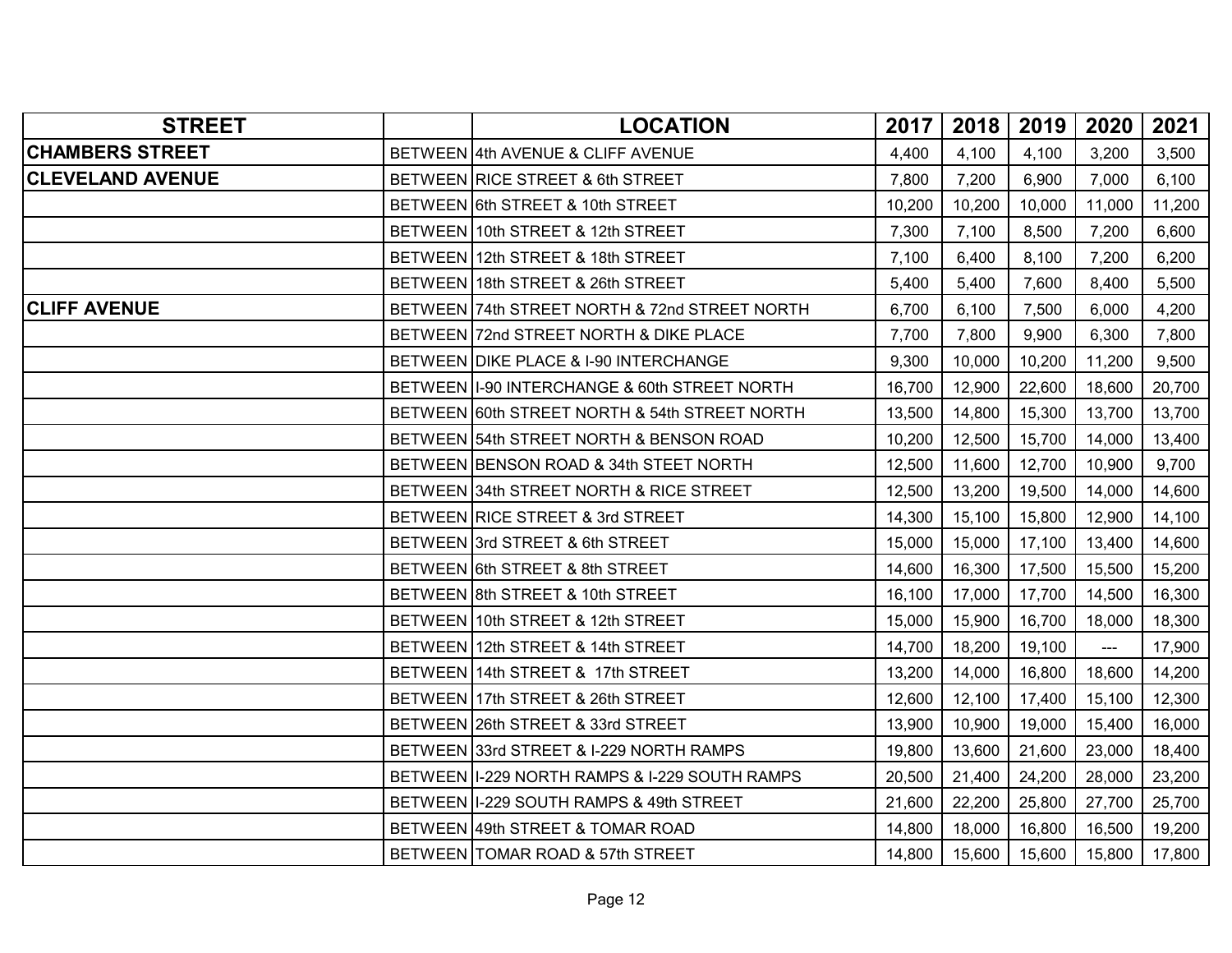| <b>STREET</b>           | <b>LOCATION</b>                                 | 2017   | 2018   | 2019   | 2020           | 2021   |
|-------------------------|-------------------------------------------------|--------|--------|--------|----------------|--------|
| <b>CHAMBERS STREET</b>  | BETWEEN 4th AVENUE & CLIFF AVENUE               | 4,400  | 4,100  | 4,100  | 3,200          | 3,500  |
| <b>CLEVELAND AVENUE</b> | BETWEEN RICE STREET & 6th STREET                | 7,800  | 7,200  | 6,900  | 7,000          | 6,100  |
|                         | BETWEEN 6th STREET & 10th STREET                | 10,200 | 10,200 | 10,000 | 11,000         | 11,200 |
|                         | BETWEEN 10th STREET & 12th STREET               | 7,300  | 7,100  | 8,500  | 7,200          | 6,600  |
|                         | BETWEEN 12th STREET & 18th STREET               | 7,100  | 6,400  | 8,100  | 7,200          | 6,200  |
|                         | BETWEEN 18th STREET & 26th STREET               | 5,400  | 5,400  | 7,600  | 8,400          | 5,500  |
| <b>CLIFF AVENUE</b>     | BETWEEN 74th STREET NORTH & 72nd STREET NORTH   | 6,700  | 6,100  | 7,500  | 6,000          | 4,200  |
|                         | BETWEEN 72nd STREET NORTH & DIKE PLACE          | 7,700  | 7,800  | 9,900  | 6,300          | 7,800  |
|                         | BETWEEN DIKE PLACE & I-90 INTERCHANGE           | 9,300  | 10,000 | 10,200 | 11,200         | 9,500  |
|                         | BETWEEN II-90 INTERCHANGE & 60th STREET NORTH   | 16,700 | 12,900 | 22,600 | 18,600         | 20,700 |
|                         | BETWEEN 60th STREET NORTH & 54th STREET NORTH   | 13,500 | 14,800 | 15,300 | 13,700         | 13,700 |
|                         | BETWEEN 54th STREET NORTH & BENSON ROAD         | 10,200 | 12,500 | 15,700 | 14,000         | 13,400 |
|                         | BETWEEN BENSON ROAD & 34th STEET NORTH          | 12,500 | 11,600 | 12,700 | 10,900         | 9,700  |
|                         | BETWEEN 34th STREET NORTH & RICE STREET         | 12,500 | 13,200 | 19,500 | 14,000         | 14,600 |
|                         | BETWEEN RICE STREET & 3rd STREET                | 14,300 | 15,100 | 15,800 | 12,900         | 14,100 |
|                         | BETWEEN 3rd STREET & 6th STREET                 | 15,000 | 15,000 | 17,100 | 13,400         | 14,600 |
|                         | BETWEEN 6th STREET & 8th STREET                 | 14,600 | 16,300 | 17,500 | 15,500         | 15,200 |
|                         | BETWEEN 8th STREET & 10th STREET                | 16,100 | 17,000 | 17,700 | 14,500         | 16,300 |
|                         | BETWEEN 10th STREET & 12th STREET               | 15,000 | 15,900 | 16,700 | 18,000         | 18,300 |
|                         | BETWEEN 12th STREET & 14th STREET               | 14,700 | 18,200 | 19,100 | $\overline{a}$ | 17,900 |
|                         | BETWEEN 14th STREET & 17th STREET               | 13,200 | 14,000 | 16,800 | 18,600         | 14,200 |
|                         | BETWEEN 17th STREET & 26th STREET               | 12,600 | 12,100 | 17,400 | 15,100         | 12,300 |
|                         | BETWEEN 26th STREET & 33rd STREET               | 13,900 | 10,900 | 19,000 | 15,400         | 16,000 |
|                         | BETWEEN 33rd STREET & I-229 NORTH RAMPS         | 19,800 | 13,600 | 21,600 | 23,000         | 18,400 |
|                         | BETWEEN   1-229 NORTH RAMPS & 1-229 SOUTH RAMPS | 20,500 | 21,400 | 24,200 | 28,000         | 23,200 |
|                         | BETWEEN II-229 SOUTH RAMPS & 49th STREET        | 21,600 | 22,200 | 25,800 | 27,700         | 25,700 |
|                         | BETWEEN 49th STREET & TOMAR ROAD                | 14,800 | 18,000 | 16,800 | 16,500         | 19,200 |
|                         | BETWEEN TOMAR ROAD & 57th STREET                | 14,800 | 15,600 | 15,600 | 15,800         | 17,800 |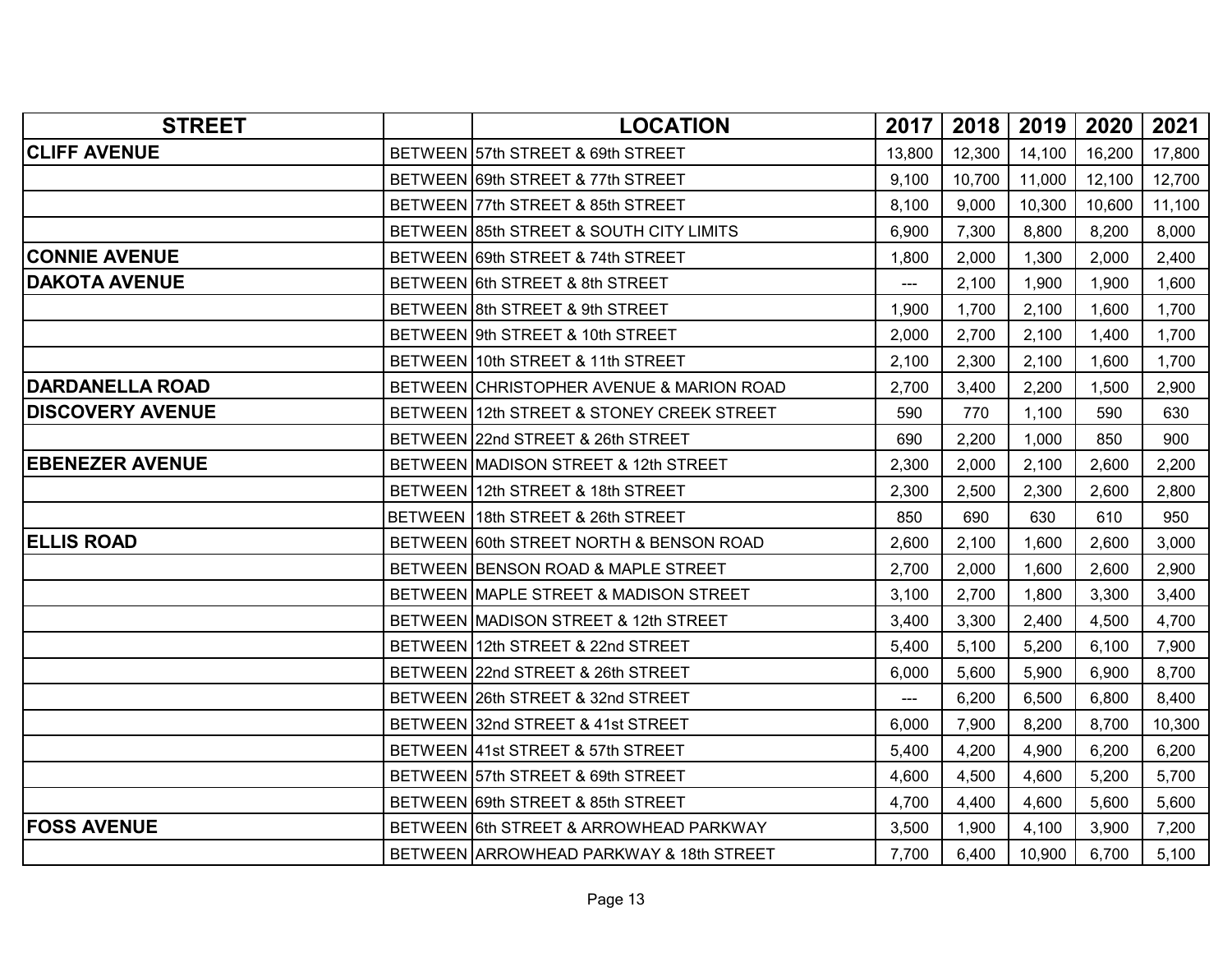| <b>STREET</b>           | <b>LOCATION</b>                           | 2017   | 2018   | 2019   | 2020   | 2021   |
|-------------------------|-------------------------------------------|--------|--------|--------|--------|--------|
| <b>CLIFF AVENUE</b>     | BETWEEN 57th STREET & 69th STREET         | 13,800 | 12,300 | 14,100 | 16,200 | 17,800 |
|                         | BETWEEN 69th STREET & 77th STREET         | 9,100  | 10,700 | 11,000 | 12,100 | 12,700 |
|                         | BETWEEN 77th STREET & 85th STREET         | 8,100  | 9,000  | 10,300 | 10,600 | 11,100 |
|                         | BETWEEN 85th STREET & SOUTH CITY LIMITS   | 6,900  | 7,300  | 8,800  | 8,200  | 8,000  |
| <b>CONNIE AVENUE</b>    | BETWEEN 69th STREET & 74th STREET         | 1,800  | 2,000  | 1,300  | 2,000  | 2,400  |
| <b>DAKOTA AVENUE</b>    | BETWEEN 6th STREET & 8th STREET           | ---    | 2,100  | 1,900  | 1,900  | 1,600  |
|                         | BETWEEN 8th STREET & 9th STREET           | 1,900  | 1,700  | 2,100  | 1,600  | 1,700  |
|                         | BETWEEN 9th STREET & 10th STREET          | 2,000  | 2,700  | 2,100  | 1,400  | 1,700  |
|                         | BETWEEN 10th STREET & 11th STREET         | 2,100  | 2,300  | 2,100  | 1,600  | 1,700  |
| <b>DARDANELLA ROAD</b>  | BETWEEN CHRISTOPHER AVENUE & MARION ROAD  | 2,700  | 3,400  | 2,200  | 1,500  | 2,900  |
| <b>DISCOVERY AVENUE</b> | BETWEEN 12th STREET & STONEY CREEK STREET | 590    | 770    | 1,100  | 590    | 630    |
|                         | BETWEEN 22nd STREET & 26th STREET         | 690    | 2,200  | 1,000  | 850    | 900    |
| <b>EBENEZER AVENUE</b>  | BETWEEN MADISON STREET & 12th STREET      | 2,300  | 2,000  | 2,100  | 2,600  | 2,200  |
|                         | BETWEEN 12th STREET & 18th STREET         | 2,300  | 2,500  | 2,300  | 2,600  | 2,800  |
|                         | BETWEEN 18th STREET & 26th STREET         | 850    | 690    | 630    | 610    | 950    |
| <b>ELLIS ROAD</b>       | BETWEEN 60th STREET NORTH & BENSON ROAD   | 2,600  | 2,100  | 1,600  | 2,600  | 3,000  |
|                         | BETWEEN BENSON ROAD & MAPLE STREET        | 2,700  | 2,000  | 1,600  | 2,600  | 2,900  |
|                         | BETWEEN MAPLE STREET & MADISON STREET     | 3,100  | 2,700  | 1,800  | 3,300  | 3,400  |
|                         | BETWEEN MADISON STREET & 12th STREET      | 3,400  | 3,300  | 2,400  | 4,500  | 4,700  |
|                         | BETWEEN 12th STREET & 22nd STREET         | 5,400  | 5,100  | 5,200  | 6,100  | 7,900  |
|                         | BETWEEN 22nd STREET & 26th STREET         | 6,000  | 5,600  | 5,900  | 6,900  | 8,700  |
|                         | BETWEEN 26th STREET & 32nd STREET         | ---    | 6,200  | 6,500  | 6,800  | 8,400  |
|                         | BETWEEN 32nd STREET & 41st STREET         | 6,000  | 7,900  | 8,200  | 8,700  | 10,300 |
|                         | BETWEEN 41st STREET & 57th STREET         | 5,400  | 4,200  | 4,900  | 6,200  | 6,200  |
|                         | BETWEEN 57th STREET & 69th STREET         | 4,600  | 4,500  | 4,600  | 5,200  | 5,700  |
|                         | BETWEEN 69th STREET & 85th STREET         | 4,700  | 4,400  | 4,600  | 5,600  | 5,600  |
| <b>FOSS AVENUE</b>      | BETWEEN 6th STREET & ARROWHEAD PARKWAY    | 3,500  | 1,900  | 4,100  | 3,900  | 7,200  |
|                         | BETWEEN ARROWHEAD PARKWAY & 18th STREET   | 7,700  | 6,400  | 10,900 | 6,700  | 5,100  |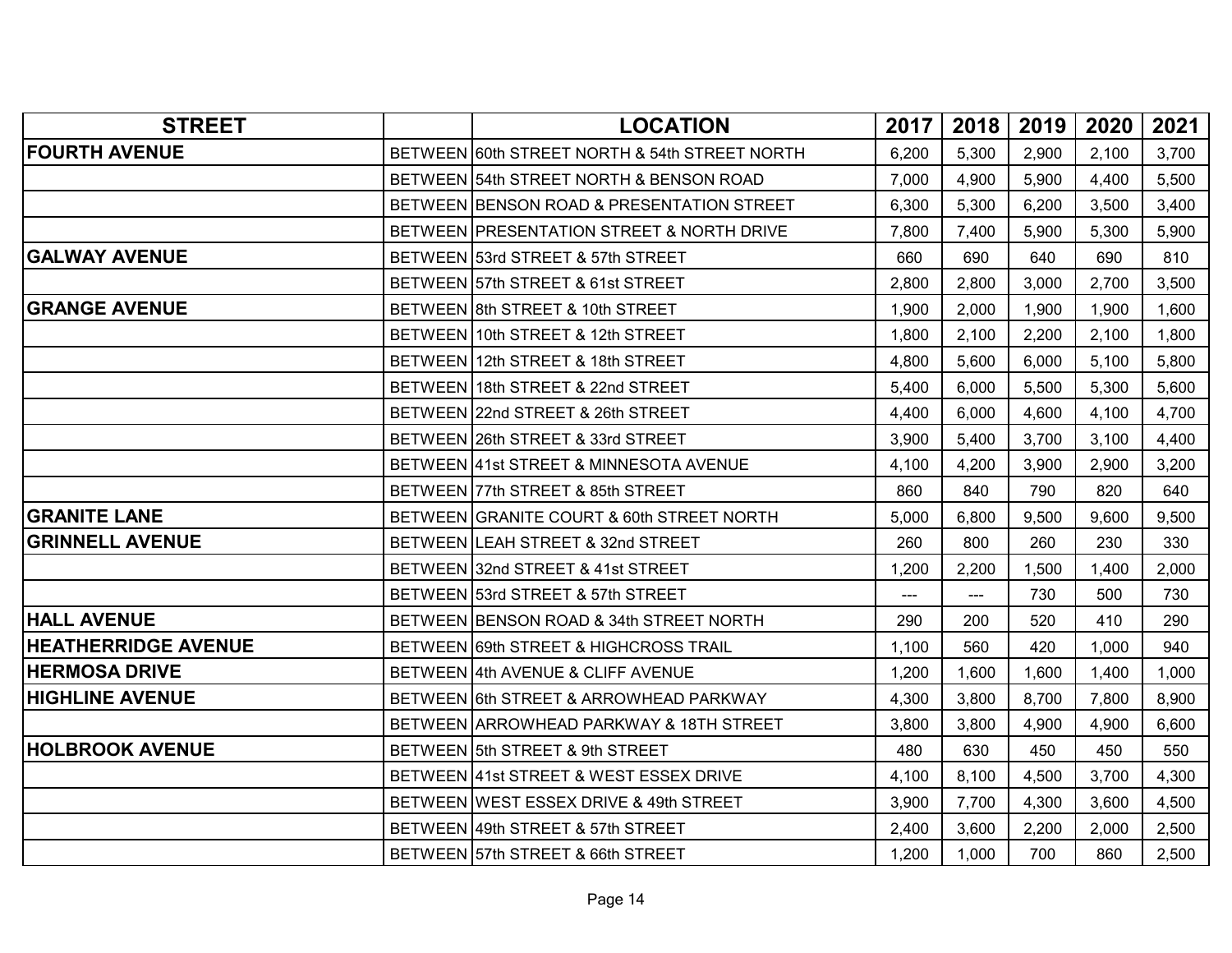| <b>STREET</b>              | <b>LOCATION</b>                               | 2017                | 2018                   | 2019  | 2020  | 2021  |
|----------------------------|-----------------------------------------------|---------------------|------------------------|-------|-------|-------|
| <b>FOURTH AVENUE</b>       | BETWEEN 60th STREET NORTH & 54th STREET NORTH | 6,200               | 5,300                  | 2,900 | 2,100 | 3,700 |
|                            | BETWEEN 54th STREET NORTH & BENSON ROAD       | 7,000               | 4,900                  | 5,900 | 4,400 | 5,500 |
|                            | BETWEEN BENSON ROAD & PRESENTATION STREET     | 6,300               | 5,300                  | 6,200 | 3,500 | 3,400 |
|                            | BETWEEN PRESENTATION STREET & NORTH DRIVE     | 7,800               | 7,400                  | 5,900 | 5,300 | 5,900 |
| <b>GALWAY AVENUE</b>       | BETWEEN 53rd STREET & 57th STREET             | 660                 | 690                    | 640   | 690   | 810   |
|                            | BETWEEN 57th STREET & 61st STREET             | 2.800               | 2,800                  | 3,000 | 2,700 | 3,500 |
| <b>GRANGE AVENUE</b>       | BETWEEN 8th STREET & 10th STREET              | 1,900               | 2,000                  | 1,900 | 1,900 | 1,600 |
|                            | BETWEEN 10th STREET & 12th STREET             | 1,800               | 2,100                  | 2,200 | 2,100 | 1,800 |
|                            | BETWEEN 12th STREET & 18th STREET             | 4,800               | 5,600                  | 6,000 | 5,100 | 5,800 |
|                            | BETWEEN 18th STREET & 22nd STREET             | 5,400               | 6,000                  | 5,500 | 5,300 | 5,600 |
|                            | BETWEEN 22nd STREET & 26th STREET             | 4,400               | 6,000                  | 4,600 | 4,100 | 4,700 |
|                            | BETWEEN 26th STREET & 33rd STREET             | 3,900               | 5,400                  | 3,700 | 3,100 | 4,400 |
|                            | BETWEEN 41st STREET & MINNESOTA AVENUE        | 4,100               | 4,200                  | 3,900 | 2,900 | 3,200 |
|                            | BETWEEN 77th STREET & 85th STREET             | 860                 | 840                    | 790   | 820   | 640   |
| <b>GRANITE LANE</b>        | BETWEEN GRANITE COURT & 60th STREET NORTH     | 5,000               | 6,800                  | 9,500 | 9,600 | 9,500 |
| <b>GRINNELL AVENUE</b>     | BETWEEN LEAH STREET & 32nd STREET             | 260                 | 800                    | 260   | 230   | 330   |
|                            | BETWEEN 32nd STREET & 41st STREET             | 1,200               | 2,200                  | 1,500 | 1,400 | 2,000 |
|                            | BETWEEN 53rd STREET & 57th STREET             | $\qquad \qquad - -$ | $\qquad \qquad \cdots$ | 730   | 500   | 730   |
| <b>HALL AVENUE</b>         | BETWEEN BENSON ROAD & 34th STREET NORTH       | 290                 | 200                    | 520   | 410   | 290   |
| <b>HEATHERRIDGE AVENUE</b> | BETWEEN 69th STREET & HIGHCROSS TRAIL         | 1,100               | 560                    | 420   | 1,000 | 940   |
| <b>HERMOSA DRIVE</b>       | BETWEEN 4th AVENUE & CLIFF AVENUE             | 1,200               | 1,600                  | 1,600 | 1,400 | 1,000 |
| <b>HIGHLINE AVENUE</b>     | BETWEEN 6th STREET & ARROWHEAD PARKWAY        | 4,300               | 3,800                  | 8,700 | 7,800 | 8,900 |
|                            | BETWEEN ARROWHEAD PARKWAY & 18TH STREET       | 3.800               | 3,800                  | 4,900 | 4,900 | 6,600 |
| <b>HOLBROOK AVENUE</b>     | BETWEEN 5th STREET & 9th STREET               | 480                 | 630                    | 450   | 450   | 550   |
|                            | BETWEEN 41st STREET & WEST ESSEX DRIVE        | 4,100               | 8,100                  | 4,500 | 3,700 | 4,300 |
|                            | BETWEEN WEST ESSEX DRIVE & 49th STREET        | 3,900               | 7,700                  | 4,300 | 3,600 | 4,500 |
|                            | BETWEEN 49th STREET & 57th STREET             | 2,400               | 3,600                  | 2,200 | 2,000 | 2,500 |
|                            | BETWEEN 57th STREET & 66th STREET             | 1,200               | 1,000                  | 700   | 860   | 2,500 |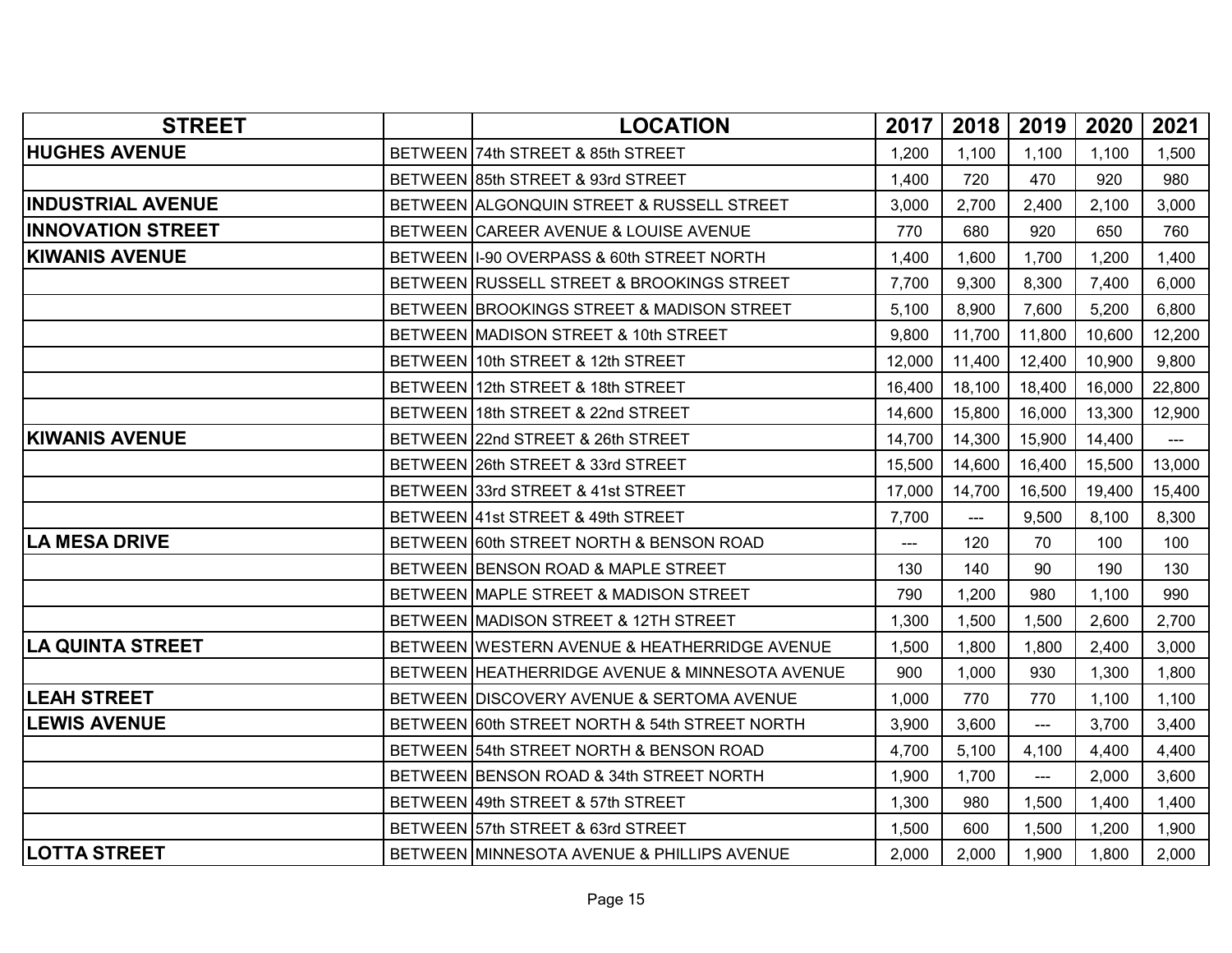| <b>STREET</b>            | <b>LOCATION</b>                                | 2017   | 2018   | 2019   | 2020   | 2021   |
|--------------------------|------------------------------------------------|--------|--------|--------|--------|--------|
| <b>HUGHES AVENUE</b>     | BETWEEN 74th STREET & 85th STREET              | 1,200  | 1,100  | 1,100  | 1,100  | 1,500  |
|                          | BETWEEN 85th STREET & 93rd STREET              | 1,400  | 720    | 470    | 920    | 980    |
| <b>INDUSTRIAL AVENUE</b> | BETWEEN ALGONQUIN STREET & RUSSELL STREET      | 3,000  | 2,700  | 2,400  | 2,100  | 3,000  |
| <b>INNOVATION STREET</b> | BETWEEN CAREER AVENUE & LOUISE AVENUE          | 770    | 680    | 920    | 650    | 760    |
| <b>KIWANIS AVENUE</b>    | BETWEEN 1-90 OVERPASS & 60th STREET NORTH      | 1,400  | 1,600  | 1,700  | 1,200  | 1,400  |
|                          | BETWEEN RUSSELL STREET & BROOKINGS STREET      | 7,700  | 9,300  | 8,300  | 7,400  | 6,000  |
|                          | BETWEEN BROOKINGS STREET & MADISON STREET      | 5,100  | 8,900  | 7,600  | 5,200  | 6,800  |
|                          | BETWEEN MADISON STREET & 10th STREET           | 9,800  | 11,700 | 11,800 | 10,600 | 12,200 |
|                          | BETWEEN 10th STREET & 12th STREET              | 12,000 | 11,400 | 12,400 | 10,900 | 9,800  |
|                          | BETWEEN 12th STREET & 18th STREET              | 16,400 | 18,100 | 18,400 | 16,000 | 22,800 |
|                          | BETWEEN 18th STREET & 22nd STREET              | 14,600 | 15,800 | 16,000 | 13,300 | 12,900 |
| <b>KIWANIS AVENUE</b>    | BETWEEN 22nd STREET & 26th STREET              | 14,700 | 14,300 | 15,900 | 14,400 | ---    |
|                          | BETWEEN 26th STREET & 33rd STREET              | 15,500 | 14,600 | 16,400 | 15,500 | 13,000 |
|                          | BETWEEN 33rd STREET & 41st STREET              | 17,000 | 14,700 | 16,500 | 19,400 | 15,400 |
|                          | BETWEEN 41st STREET & 49th STREET              | 7,700  | ---    | 9,500  | 8,100  | 8,300  |
| <b>LA MESA DRIVE</b>     | BETWEEN 60th STREET NORTH & BENSON ROAD        | $---$  | 120    | 70     | 100    | 100    |
|                          | BETWEEN BENSON ROAD & MAPLE STREET             | 130    | 140    | 90     | 190    | 130    |
|                          | BETWEEN MAPLE STREET & MADISON STREET          | 790    | 1,200  | 980    | 1,100  | 990    |
|                          | BETWEEN MADISON STREET & 12TH STREET           | 1,300  | 1,500  | 1,500  | 2,600  | 2,700  |
| <b>LA QUINTA STREET</b>  | BETWEEN WESTERN AVENUE & HEATHERRIDGE AVENUE   | 1,500  | 1,800  | 1,800  | 2,400  | 3,000  |
|                          | BETWEEN HEATHERRIDGE AVENUE & MINNESOTA AVENUE | 900    | 1,000  | 930    | 1,300  | 1,800  |
| <b>LEAH STREET</b>       | BETWEEN DISCOVERY AVENUE & SERTOMA AVENUE      | 1,000  | 770    | 770    | 1,100  | 1,100  |
| <b>LEWIS AVENUE</b>      | BETWEEN 60th STREET NORTH & 54th STREET NORTH  | 3,900  | 3,600  | ---    | 3,700  | 3,400  |
|                          | BETWEEN 54th STREET NORTH & BENSON ROAD        | 4,700  | 5,100  | 4,100  | 4,400  | 4,400  |
|                          | BETWEEN BENSON ROAD & 34th STREET NORTH        | 1,900  | 1,700  | $---$  | 2,000  | 3,600  |
|                          | BETWEEN 49th STREET & 57th STREET              | 1,300  | 980    | 1,500  | 1,400  | 1,400  |
|                          | BETWEEN 57th STREET & 63rd STREET              | 1,500  | 600    | 1,500  | 1,200  | 1,900  |
| <b>LOTTA STREET</b>      | BETWEEN MINNESOTA AVENUE & PHILLIPS AVENUE     | 2,000  | 2,000  | 1,900  | 1,800  | 2,000  |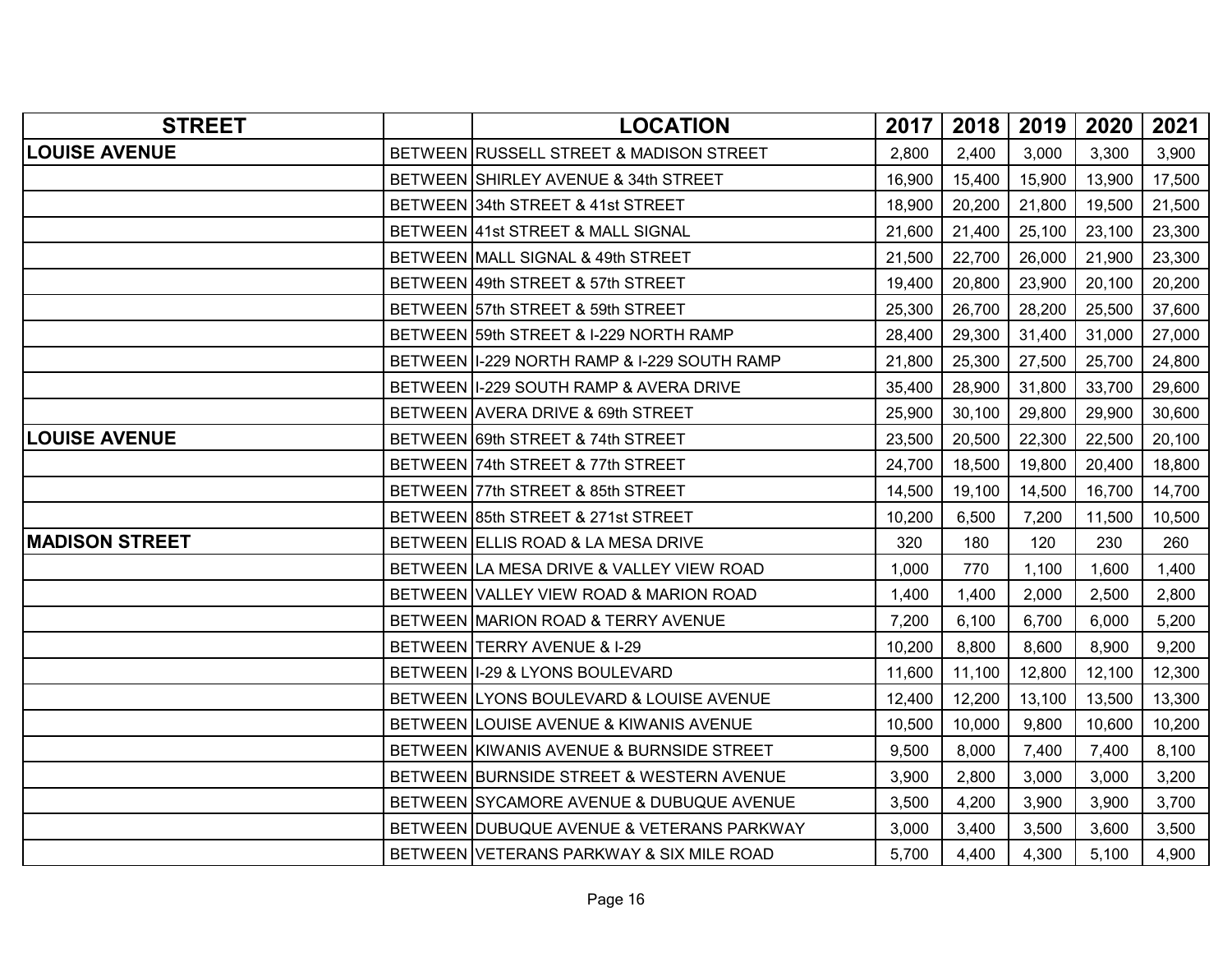| <b>STREET</b>         | <b>LOCATION</b>                               | 2017   | 2018   | 2019   | 2020   | 2021   |
|-----------------------|-----------------------------------------------|--------|--------|--------|--------|--------|
| <b>LOUISE AVENUE</b>  | BETWEEN RUSSELL STREET & MADISON STREET       | 2,800  | 2,400  | 3,000  | 3,300  | 3,900  |
|                       | BETWEEN SHIRLEY AVENUE & 34th STREET          | 16,900 | 15,400 | 15,900 | 13,900 | 17,500 |
|                       | BETWEEN 34th STREET & 41st STREET             | 18,900 | 20,200 | 21,800 | 19,500 | 21,500 |
|                       | BETWEEN 41st STREET & MALL SIGNAL             | 21,600 | 21,400 | 25,100 | 23,100 | 23,300 |
|                       | BETWEEN MALL SIGNAL & 49th STREET             | 21,500 | 22,700 | 26,000 | 21,900 | 23,300 |
|                       | BETWEEN 49th STREET & 57th STREET             | 19,400 | 20,800 | 23,900 | 20,100 | 20,200 |
|                       | BETWEEN 57th STREET & 59th STREET             | 25,300 | 26,700 | 28,200 | 25,500 | 37,600 |
|                       | BETWEEN 59th STREET & I-229 NORTH RAMP        | 28,400 | 29,300 | 31,400 | 31,000 | 27,000 |
|                       | BETWEEN   1-229 NORTH RAMP & 1-229 SOUTH RAMP | 21,800 | 25,300 | 27,500 | 25,700 | 24,800 |
|                       | BETWEEN   1-229 SOUTH RAMP & AVERA DRIVE      | 35,400 | 28,900 | 31,800 | 33,700 | 29,600 |
|                       | BETWEEN AVERA DRIVE & 69th STREET             | 25,900 | 30,100 | 29,800 | 29,900 | 30,600 |
| <b>LOUISE AVENUE</b>  | BETWEEN 69th STREET & 74th STREET             | 23,500 | 20,500 | 22,300 | 22,500 | 20,100 |
|                       | BETWEEN 74th STREET & 77th STREET             | 24,700 | 18,500 | 19,800 | 20,400 | 18,800 |
|                       | BETWEEN 77th STREET & 85th STREET             | 14,500 | 19,100 | 14,500 | 16,700 | 14,700 |
|                       | BETWEEN 85th STREET & 271st STREET            | 10,200 | 6,500  | 7,200  | 11,500 | 10,500 |
| <b>MADISON STREET</b> | BETWEEN ELLIS ROAD & LA MESA DRIVE            | 320    | 180    | 120    | 230    | 260    |
|                       | BETWEEN LA MESA DRIVE & VALLEY VIEW ROAD      | 1,000  | 770    | 1,100  | 1,600  | 1,400  |
|                       | BETWEEN VALLEY VIEW ROAD & MARION ROAD        | 1,400  | 1,400  | 2,000  | 2,500  | 2,800  |
|                       | BETWEEN MARION ROAD & TERRY AVENUE            | 7,200  | 6,100  | 6,700  | 6,000  | 5,200  |
|                       | BETWEEN TERRY AVENUE & I-29                   | 10,200 | 8,800  | 8,600  | 8,900  | 9,200  |
|                       | BETWEEN 1-29 & LYONS BOULEVARD                | 11,600 | 11,100 | 12,800 | 12,100 | 12,300 |
|                       | BETWEEN LYONS BOULEVARD & LOUISE AVENUE       | 12,400 | 12,200 | 13,100 | 13,500 | 13,300 |
|                       | BETWEEN LOUISE AVENUE & KIWANIS AVENUE        | 10,500 | 10,000 | 9,800  | 10,600 | 10,200 |
|                       | BETWEEN KIWANIS AVENUE & BURNSIDE STREET      | 9,500  | 8,000  | 7,400  | 7,400  | 8,100  |
|                       | BETWEEN BURNSIDE STREET & WESTERN AVENUE      | 3,900  | 2,800  | 3,000  | 3,000  | 3,200  |
|                       | BETWEEN SYCAMORE AVENUE & DUBUQUE AVENUE      | 3,500  | 4,200  | 3,900  | 3,900  | 3,700  |
|                       | BETWEEN DUBUQUE AVENUE & VETERANS PARKWAY     | 3,000  | 3,400  | 3,500  | 3,600  | 3,500  |
|                       | BETWEEN VETERANS PARKWAY & SIX MILE ROAD      | 5,700  | 4,400  | 4,300  | 5,100  | 4,900  |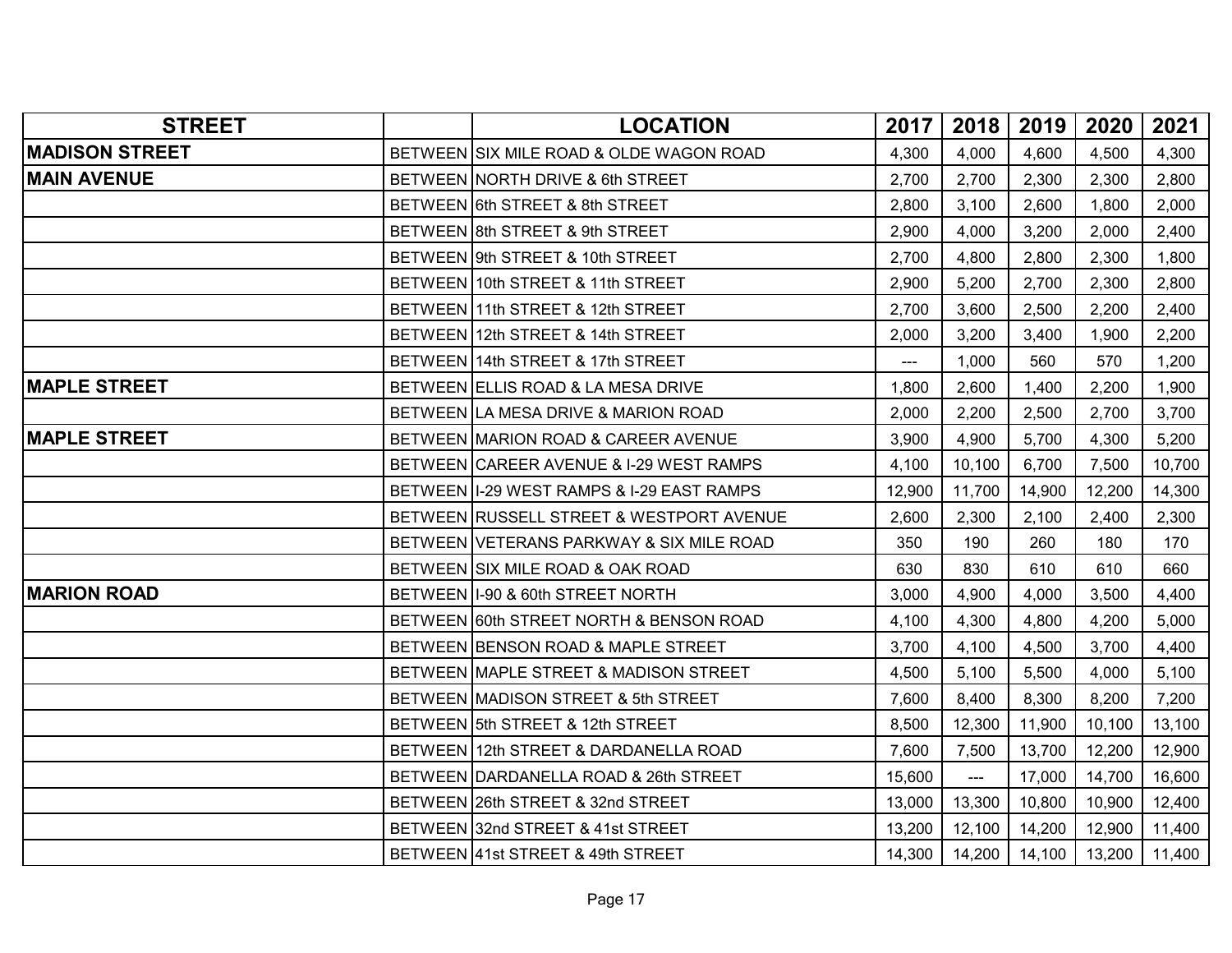| <b>STREET</b>         | <b>LOCATION</b>                            | 2017           | 2018                  | 2019   | 2020   | 2021   |
|-----------------------|--------------------------------------------|----------------|-----------------------|--------|--------|--------|
| <b>MADISON STREET</b> | BETWEEN SIX MILE ROAD & OLDE WAGON ROAD    | 4,300          | 4,000                 | 4,600  | 4,500  | 4,300  |
| <b>MAIN AVENUE</b>    | BETWEEN NORTH DRIVE & 6th STREET           | 2,700          | 2,700                 | 2,300  | 2,300  | 2,800  |
|                       | BETWEEN 6th STREET & 8th STREET            | 2,800          | 3,100                 | 2,600  | 1,800  | 2,000  |
|                       | BETWEEN 8th STREET & 9th STREET            | 2,900          | 4,000                 | 3,200  | 2,000  | 2,400  |
|                       | BETWEEN 9th STREET & 10th STREET           | 2,700          | 4,800                 | 2,800  | 2,300  | 1,800  |
|                       | BETWEEN 10th STREET & 11th STREET          | 2,900          | 5,200                 | 2,700  | 2,300  | 2,800  |
|                       | BETWEEN 11th STREET & 12th STREET          | 2,700          | 3,600                 | 2,500  | 2,200  | 2,400  |
|                       | BETWEEN 12th STREET & 14th STREET          | 2,000          | 3,200                 | 3,400  | 1,900  | 2,200  |
|                       | BETWEEN 14th STREET & 17th STREET          | $\overline{a}$ | 1,000                 | 560    | 570    | 1,200  |
| <b>MAPLE STREET</b>   | BETWEEN ELLIS ROAD & LA MESA DRIVE         | 1,800          | 2,600                 | 1,400  | 2,200  | 1,900  |
|                       | BETWEEN LA MESA DRIVE & MARION ROAD        | 2,000          | 2,200                 | 2,500  | 2,700  | 3,700  |
| <b>MAPLE STREET</b>   | BETWEEN MARION ROAD & CAREER AVENUE        | 3,900          | 4,900                 | 5,700  | 4,300  | 5,200  |
|                       | BETWEEN CAREER AVENUE & I-29 WEST RAMPS    | 4,100          | 10,100                | 6,700  | 7,500  | 10,700 |
|                       | BETWEEN II-29 WEST RAMPS & I-29 EAST RAMPS | 12,900         | 11,700                | 14,900 | 12,200 | 14,300 |
|                       | BETWEEN RUSSELL STREET & WESTPORT AVENUE   | 2,600          | 2,300                 | 2,100  | 2,400  | 2,300  |
|                       | BETWEEN VETERANS PARKWAY & SIX MILE ROAD   | 350            | 190                   | 260    | 180    | 170    |
|                       | BETWEEN SIX MILE ROAD & OAK ROAD           | 630            | 830                   | 610    | 610    | 660    |
| <b>MARION ROAD</b>    | BETWEEN I-90 & 60th STREET NORTH           | 3,000          | 4,900                 | 4,000  | 3,500  | 4,400  |
|                       | BETWEEN 60th STREET NORTH & BENSON ROAD    | 4,100          | 4,300                 | 4,800  | 4,200  | 5,000  |
|                       | BETWEEN BENSON ROAD & MAPLE STREET         | 3,700          | 4,100                 | 4,500  | 3,700  | 4,400  |
|                       | BETWEEN MAPLE STREET & MADISON STREET      | 4,500          | 5,100                 | 5,500  | 4,000  | 5,100  |
|                       | BETWEEN MADISON STREET & 5th STREET        | 7,600          | 8,400                 | 8,300  | 8,200  | 7,200  |
|                       | BETWEEN 5th STREET & 12th STREET           | 8,500          | 12,300                | 11,900 | 10,100 | 13,100 |
|                       | BETWEEN 12th STREET & DARDANELLA ROAD      | 7,600          | 7,500                 | 13,700 | 12,200 | 12,900 |
|                       | BETWEEN DARDANELLA ROAD & 26th STREET      | 15,600         | $\scriptstyle \cdots$ | 17,000 | 14,700 | 16,600 |
|                       | BETWEEN 26th STREET & 32nd STREET          | 13,000         | 13,300                | 10,800 | 10,900 | 12,400 |
|                       | BETWEEN 32nd STREET & 41st STREET          | 13,200         | 12,100                | 14,200 | 12,900 | 11,400 |
|                       | BETWEEN 41st STREET & 49th STREET          | 14,300         | 14,200                | 14,100 | 13,200 | 11,400 |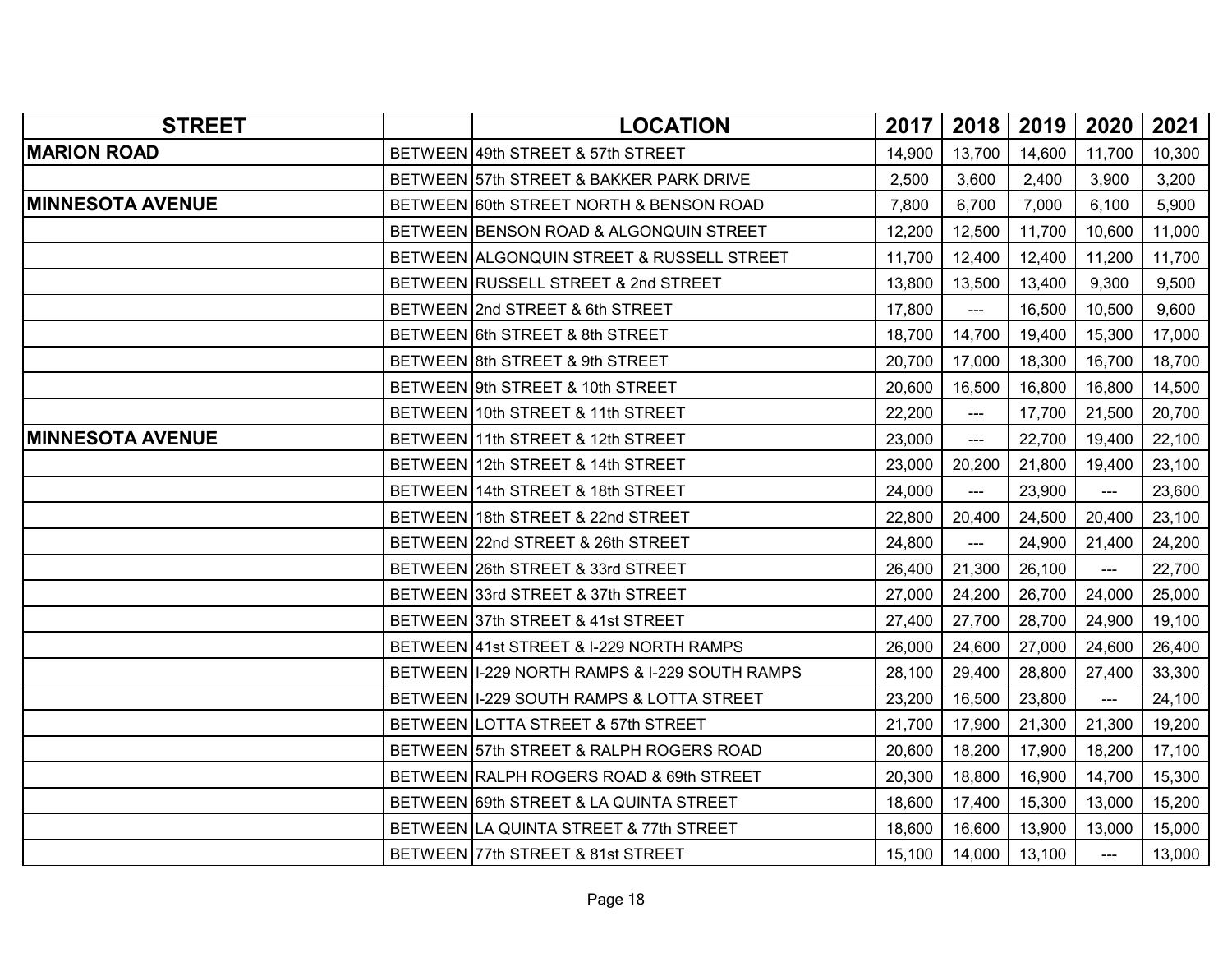| <b>STREET</b>           | <b>LOCATION</b>                                 | 2017   | 2018                      | $2019$ | 2020                                   | 2021   |
|-------------------------|-------------------------------------------------|--------|---------------------------|--------|----------------------------------------|--------|
| <b>MARION ROAD</b>      | BETWEEN 49th STREET & 57th STREET               | 14,900 | 13,700                    | 14,600 | 11,700                                 | 10,300 |
|                         | BETWEEN 57th STREET & BAKKER PARK DRIVE         | 2,500  | 3,600                     | 2,400  | 3,900                                  | 3,200  |
| <b>MINNESOTA AVENUE</b> | BETWEEN 60th STREET NORTH & BENSON ROAD         | 7,800  | 6,700                     | 7,000  | 6,100                                  | 5,900  |
|                         | BETWEEN BENSON ROAD & ALGONQUIN STREET          | 12,200 | 12,500                    | 11,700 | 10,600                                 | 11,000 |
|                         | BETWEEN ALGONQUIN STREET & RUSSELL STREET       | 11,700 | 12,400                    | 12,400 | 11,200                                 | 11,700 |
|                         | BETWEEN RUSSELL STREET & 2nd STREET             | 13,800 | 13,500                    | 13,400 | 9,300                                  | 9,500  |
|                         | BETWEEN 2nd STREET & 6th STREET                 | 17,800 | $\overline{a}$            | 16,500 | 10,500                                 | 9,600  |
|                         | BETWEEN 6th STREET & 8th STREET                 | 18,700 | 14,700                    | 19,400 | 15,300                                 | 17,000 |
|                         | BETWEEN 8th STREET & 9th STREET                 | 20,700 | 17,000                    | 18,300 | 16,700                                 | 18,700 |
|                         | BETWEEN 9th STREET & 10th STREET                | 20,600 | 16,500                    | 16,800 | 16,800                                 | 14,500 |
|                         | BETWEEN 10th STREET & 11th STREET               | 22,200 | ---                       | 17,700 | 21,500                                 | 20,700 |
| <b>MINNESOTA AVENUE</b> | BETWEEN 11th STREET & 12th STREET               | 23,000 | $---$                     | 22,700 | 19,400                                 | 22,100 |
|                         | BETWEEN 12th STREET & 14th STREET               | 23,000 | 20,200                    | 21,800 | 19,400                                 | 23,100 |
|                         | BETWEEN 14th STREET & 18th STREET               | 24,000 | $\qquad \qquad -\qquad -$ | 23,900 | $\scriptstyle\cdots\scriptstyle\cdots$ | 23,600 |
|                         | BETWEEN 18th STREET & 22nd STREET               | 22,800 | 20,400                    | 24,500 | 20,400                                 | 23,100 |
|                         | BETWEEN 22nd STREET & 26th STREET               | 24,800 | ---                       | 24,900 | 21,400                                 | 24,200 |
|                         | BETWEEN 26th STREET & 33rd STREET               | 26,400 | 21,300                    | 26,100 | $\scriptstyle\cdots\scriptstyle\cdots$ | 22,700 |
|                         | BETWEEN 33rd STREET & 37th STREET               | 27,000 | 24,200                    | 26,700 | 24,000                                 | 25,000 |
|                         | BETWEEN 37th STREET & 41st STREET               | 27,400 | 27,700                    | 28,700 | 24,900                                 | 19,100 |
|                         | BETWEEN 41st STREET & I-229 NORTH RAMPS         | 26,000 | 24,600                    | 27,000 | 24,600                                 | 26,400 |
|                         | BETWEEN   1-229 NORTH RAMPS & 1-229 SOUTH RAMPS | 28,100 | 29,400                    | 28,800 | 27,400                                 | 33,300 |
|                         | BETWEEN II-229 SOUTH RAMPS & LOTTA STREET       | 23,200 | 16,500                    | 23,800 | ---                                    | 24,100 |
|                         | BETWEEN LOTTA STREET & 57th STREET              | 21,700 | 17,900                    | 21,300 | 21,300                                 | 19,200 |
|                         | BETWEEN 57th STREET & RALPH ROGERS ROAD         | 20,600 | 18,200                    | 17,900 | 18,200                                 | 17,100 |
|                         | BETWEEN RALPH ROGERS ROAD & 69th STREET         | 20,300 | 18,800                    | 16,900 | 14,700                                 | 15,300 |
|                         | BETWEEN 69th STREET & LA QUINTA STREET          | 18,600 | 17,400                    | 15,300 | 13,000                                 | 15,200 |
|                         | BETWEEN LA QUINTA STREET & 77th STREET          | 18,600 | 16,600                    | 13,900 | 13,000                                 | 15,000 |
|                         | BETWEEN 77th STREET & 81st STREET               | 15,100 | 14,000                    | 13,100 | $\overline{a}$                         | 13,000 |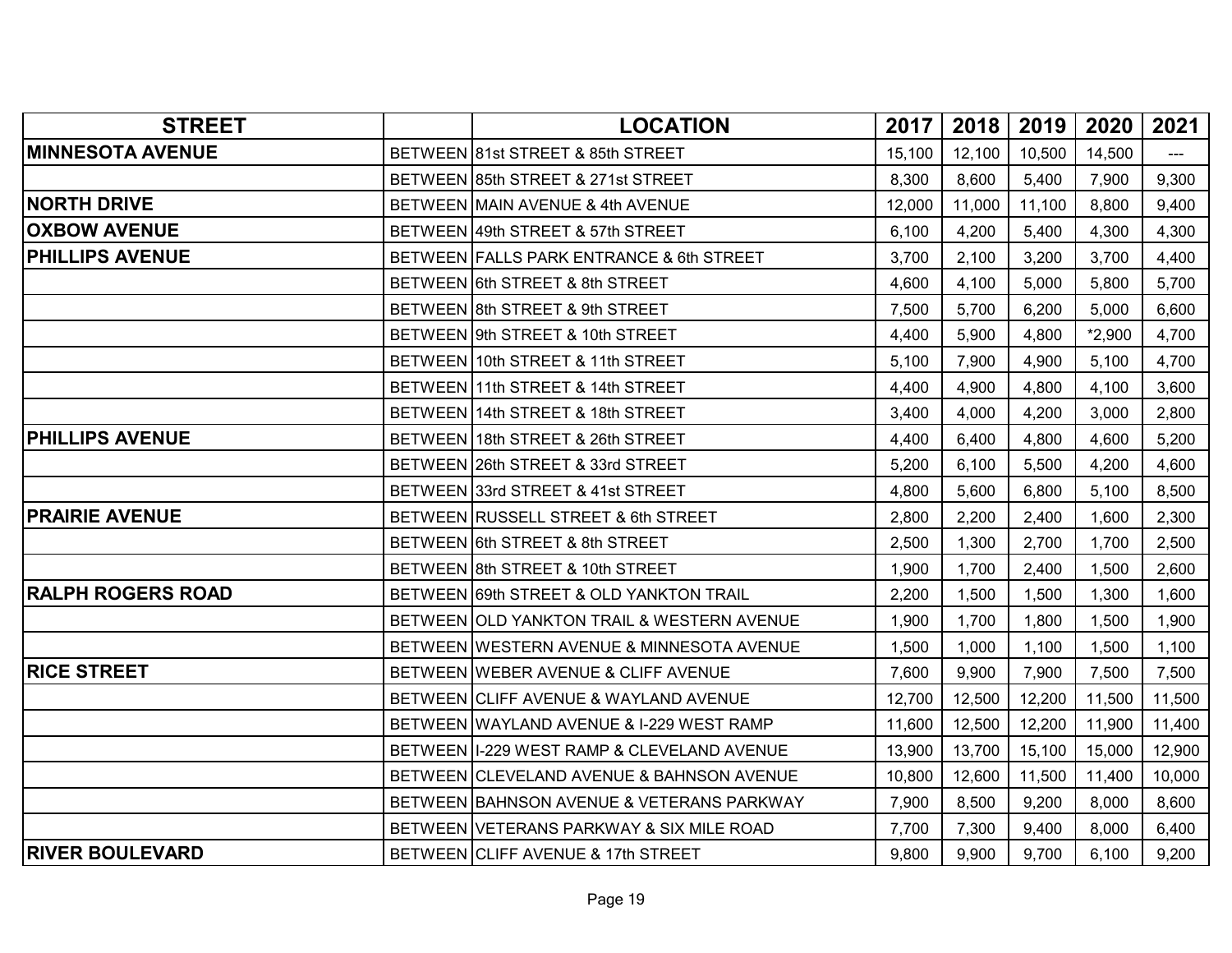| <b>STREET</b>            | <b>LOCATION</b>                              | 2017   | 2018   | 2019   | 2020     | 2021   |
|--------------------------|----------------------------------------------|--------|--------|--------|----------|--------|
| <b>MINNESOTA AVENUE</b>  | BETWEEN 81st STREET & 85th STREET            | 15,100 | 12,100 | 10,500 | 14,500   |        |
|                          | BETWEEN 85th STREET & 271st STREET           | 8,300  | 8,600  | 5,400  | 7,900    | 9,300  |
| <b>NORTH DRIVE</b>       | BETWEEN MAIN AVENUE & 4th AVENUE             | 12,000 | 11,000 | 11,100 | 8,800    | 9,400  |
| <b>OXBOW AVENUE</b>      | BETWEEN 49th STREET & 57th STREET            | 6,100  | 4,200  | 5,400  | 4,300    | 4,300  |
| <b>PHILLIPS AVENUE</b>   | BETWEEN FALLS PARK ENTRANCE & 6th STREET     | 3,700  | 2,100  | 3,200  | 3,700    | 4,400  |
|                          | BETWEEN 6th STREET & 8th STREET              | 4,600  | 4,100  | 5,000  | 5,800    | 5,700  |
|                          | BETWEEN 8th STREET & 9th STREET              | 7,500  | 5,700  | 6,200  | 5,000    | 6,600  |
|                          | BETWEEN 9th STREET & 10th STREET             | 4,400  | 5,900  | 4,800  | $*2,900$ | 4,700  |
|                          | BETWEEN 10th STREET & 11th STREET            | 5,100  | 7,900  | 4,900  | 5,100    | 4,700  |
|                          | BETWEEN 11th STREET & 14th STREET            | 4,400  | 4,900  | 4,800  | 4,100    | 3,600  |
|                          | BETWEEN 14th STREET & 18th STREET            | 3,400  | 4,000  | 4,200  | 3,000    | 2,800  |
| <b>PHILLIPS AVENUE</b>   | BETWEEN 18th STREET & 26th STREET            | 4,400  | 6,400  | 4,800  | 4,600    | 5,200  |
|                          | BETWEEN 26th STREET & 33rd STREET            | 5,200  | 6,100  | 5,500  | 4,200    | 4,600  |
|                          | BETWEEN 33rd STREET & 41st STREET            | 4,800  | 5,600  | 6,800  | 5,100    | 8,500  |
| <b>PRAIRIE AVENUE</b>    | BETWEEN RUSSELL STREET & 6th STREET          | 2,800  | 2,200  | 2,400  | 1,600    | 2,300  |
|                          | BETWEEN 6th STREET & 8th STREET              | 2,500  | 1,300  | 2,700  | 1,700    | 2,500  |
|                          | BETWEEN 8th STREET & 10th STREET             | 1,900  | 1,700  | 2,400  | 1,500    | 2,600  |
| <b>RALPH ROGERS ROAD</b> | BETWEEN 69th STREET & OLD YANKTON TRAIL      | 2,200  | 1,500  | 1,500  | 1,300    | 1,600  |
|                          | BETWEEN JOLD YANKTON TRAIL & WESTERN AVENUE  | 1,900  | 1,700  | 1,800  | 1,500    | 1,900  |
|                          | BETWEEN WESTERN AVENUE & MINNESOTA AVENUE    | 1,500  | 1,000  | 1,100  | 1,500    | 1,100  |
| <b>RICE STREET</b>       | BETWEEN WEBER AVENUE & CLIFF AVENUE          | 7,600  | 9,900  | 7,900  | 7,500    | 7,500  |
|                          | BETWEEN CLIFF AVENUE & WAYLAND AVENUE        | 12,700 | 12,500 | 12,200 | 11,500   | 11,500 |
|                          | BETWEEN WAYLAND AVENUE & I-229 WEST RAMP     | 11,600 | 12,500 | 12,200 | 11,900   | 11,400 |
|                          | BETWEEN   I-229 WEST RAMP & CLEVELAND AVENUE | 13,900 | 13,700 | 15,100 | 15,000   | 12,900 |
|                          | BETWEEN CLEVELAND AVENUE & BAHNSON AVENUE    | 10,800 | 12,600 | 11,500 | 11,400   | 10,000 |
|                          | BETWEEN BAHNSON AVENUE & VETERANS PARKWAY    | 7,900  | 8,500  | 9,200  | 8,000    | 8,600  |
|                          | BETWEEN VETERANS PARKWAY & SIX MILE ROAD     | 7,700  | 7,300  | 9,400  | 8,000    | 6,400  |
| <b>RIVER BOULEVARD</b>   | BETWEEN CLIFF AVENUE & 17th STREET           | 9,800  | 9,900  | 9,700  | 6,100    | 9,200  |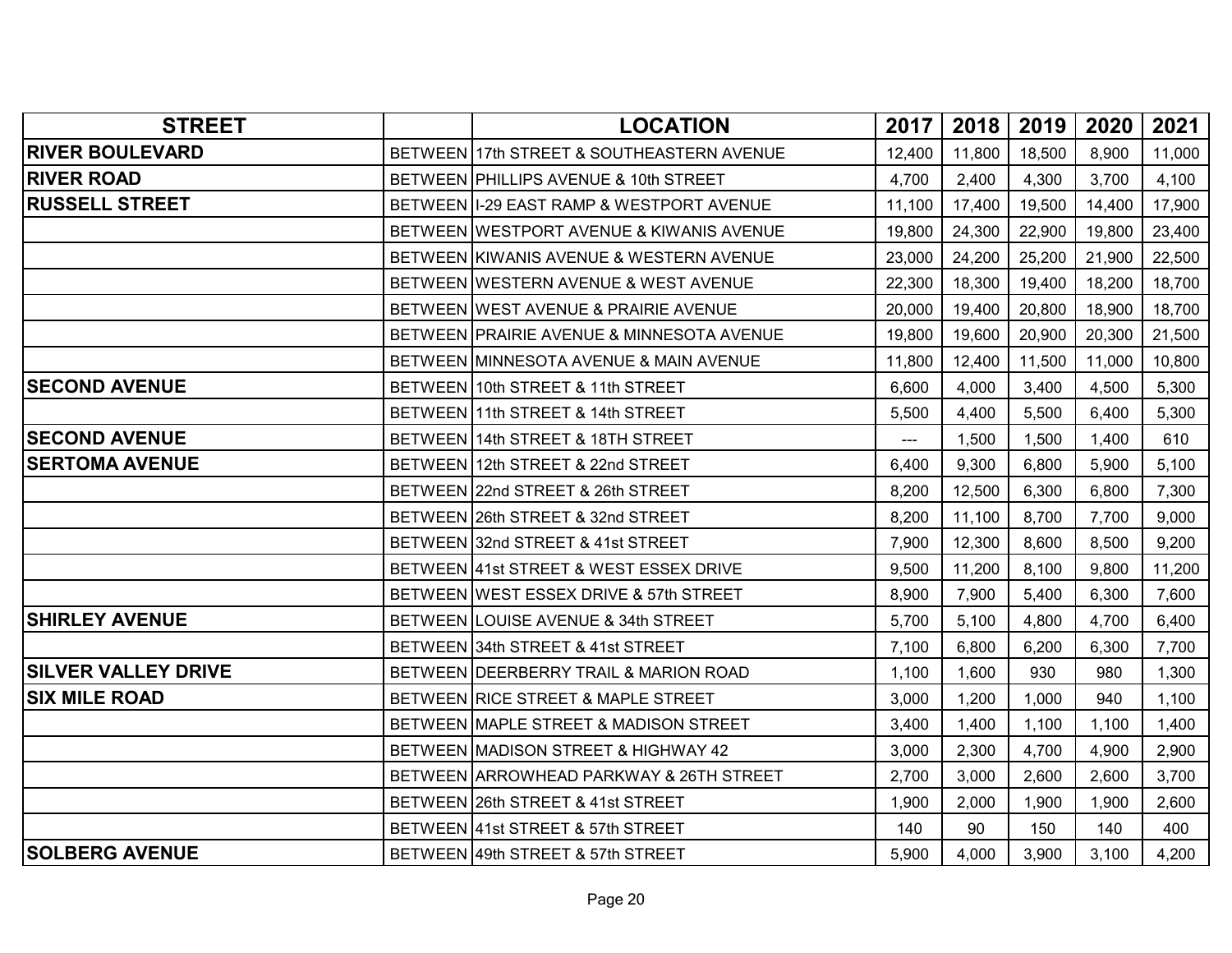| <b>STREET</b>              | <b>LOCATION</b>                            | 2017                | 2018   | 2019   | 2020   | 2021   |
|----------------------------|--------------------------------------------|---------------------|--------|--------|--------|--------|
| <b>RIVER BOULEVARD</b>     | BETWEEN 17th STREET & SOUTHEASTERN AVENUE  | 12,400              | 11,800 | 18,500 | 8,900  | 11,000 |
| <b>RIVER ROAD</b>          | BETWEEN PHILLIPS AVENUE & 10th STREET      | 4,700               | 2,400  | 4,300  | 3,700  | 4,100  |
| <b>RUSSELL STREET</b>      | BETWEEN   I-29 EAST RAMP & WESTPORT AVENUE | 11,100              | 17,400 | 19,500 | 14,400 | 17,900 |
|                            | BETWEEN WESTPORT AVENUE & KIWANIS AVENUE   | 19,800              | 24,300 | 22,900 | 19,800 | 23,400 |
|                            | BETWEEN KIWANIS AVENUE & WESTERN AVENUE    | 23,000              | 24,200 | 25,200 | 21,900 | 22,500 |
|                            | BETWEEN WESTERN AVENUE & WEST AVENUE       | 22,300              | 18,300 | 19,400 | 18,200 | 18,700 |
|                            | BETWEEN WEST AVENUE & PRAIRIE AVENUE       | 20,000              | 19,400 | 20,800 | 18,900 | 18,700 |
|                            | BETWEEN PRAIRIE AVENUE & MINNESOTA AVENUE  | 19,800              | 19,600 | 20,900 | 20,300 | 21,500 |
|                            | BETWEEN MINNESOTA AVENUE & MAIN AVENUE     | 11,800              | 12,400 | 11,500 | 11,000 | 10,800 |
| <b>SECOND AVENUE</b>       | BETWEEN 10th STREET & 11th STREET          | 6,600               | 4,000  | 3,400  | 4,500  | 5,300  |
|                            | BETWEEN 11th STREET & 14th STREET          | 5,500               | 4,400  | 5,500  | 6,400  | 5,300  |
| <b>SECOND AVENUE</b>       | BETWEEN 14th STREET & 18TH STREET          | $\qquad \qquad - -$ | 1,500  | 1,500  | 1,400  | 610    |
| <b>SERTOMA AVENUE</b>      | BETWEEN 12th STREET & 22nd STREET          | 6,400               | 9,300  | 6,800  | 5,900  | 5,100  |
|                            | BETWEEN 22nd STREET & 26th STREET          | 8,200               | 12,500 | 6,300  | 6,800  | 7,300  |
|                            | BETWEEN 26th STREET & 32nd STREET          | 8,200               | 11,100 | 8,700  | 7,700  | 9,000  |
|                            | BETWEEN 32nd STREET & 41st STREET          | 7,900               | 12,300 | 8,600  | 8,500  | 9,200  |
|                            | BETWEEN 41st STREET & WEST ESSEX DRIVE     | 9,500               | 11,200 | 8,100  | 9,800  | 11,200 |
|                            | BETWEEN WEST ESSEX DRIVE & 57th STREET     | 8,900               | 7,900  | 5,400  | 6,300  | 7,600  |
| <b>SHIRLEY AVENUE</b>      | BETWEEN LOUISE AVENUE & 34th STREET        | 5,700               | 5,100  | 4,800  | 4,700  | 6,400  |
|                            | BETWEEN 34th STREET & 41st STREET          | 7,100               | 6,800  | 6,200  | 6,300  | 7,700  |
| <b>SILVER VALLEY DRIVE</b> | BETWEEN DEERBERRY TRAIL & MARION ROAD      | 1,100               | 1,600  | 930    | 980    | 1,300  |
| <b>SIX MILE ROAD</b>       | BETWEEN RICE STREET & MAPLE STREET         | 3,000               | 1,200  | 1,000  | 940    | 1,100  |
|                            | BETWEEN MAPLE STREET & MADISON STREET      | 3,400               | 1,400  | 1,100  | 1,100  | 1,400  |
|                            | BETWEEN MADISON STREET & HIGHWAY 42        | 3,000               | 2,300  | 4,700  | 4,900  | 2,900  |
|                            | BETWEEN ARROWHEAD PARKWAY & 26TH STREET    | 2,700               | 3,000  | 2,600  | 2,600  | 3,700  |
|                            | BETWEEN 26th STREET & 41st STREET          | 1,900               | 2,000  | 1,900  | 1,900  | 2,600  |
|                            | BETWEEN 41st STREET & 57th STREET          | 140                 | 90     | 150    | 140    | 400    |
| <b>SOLBERG AVENUE</b>      | BETWEEN 49th STREET & 57th STREET          | 5,900               | 4,000  | 3,900  | 3,100  | 4,200  |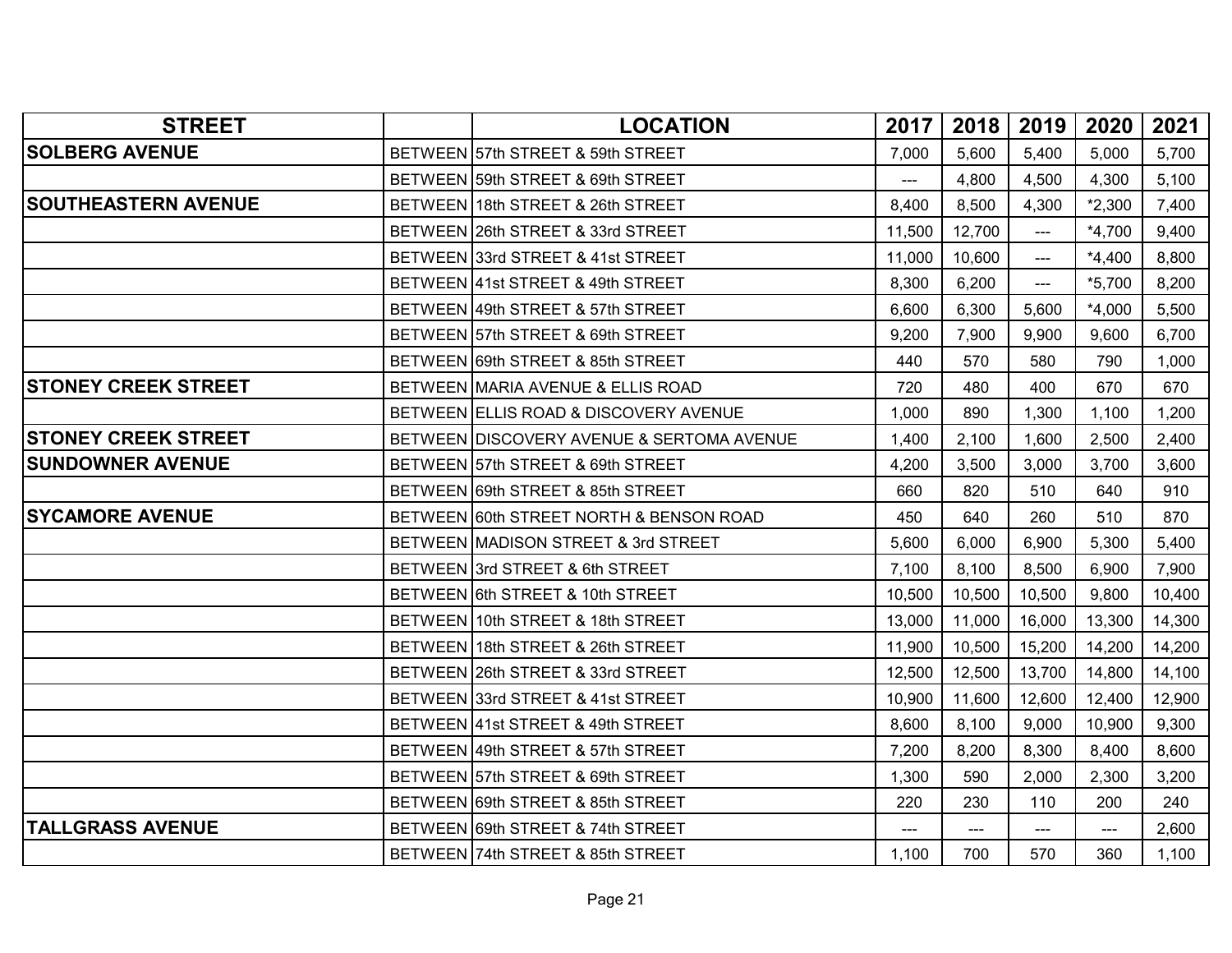| <b>STREET</b>              | <b>LOCATION</b>                           | 2017           | 2018   | 2019           | 2020     | 2021   |
|----------------------------|-------------------------------------------|----------------|--------|----------------|----------|--------|
| <b>SOLBERG AVENUE</b>      | BETWEEN 57th STREET & 59th STREET         | 7,000          | 5,600  | 5,400          | 5,000    | 5,700  |
|                            | BETWEEN 59th STREET & 69th STREET         | $\overline{a}$ | 4,800  | 4,500          | 4,300    | 5,100  |
| <b>SOUTHEASTERN AVENUE</b> | BETWEEN 18th STREET & 26th STREET         | 8,400          | 8,500  | 4,300          | $*2,300$ | 7,400  |
|                            | BETWEEN 26th STREET & 33rd STREET         | 11,500         | 12,700 | $\overline{a}$ | $*4,700$ | 9,400  |
|                            | BETWEEN 33rd STREET & 41st STREET         | 11,000         | 10,600 | ---            | $*4,400$ | 8,800  |
|                            | BETWEEN 41st STREET & 49th STREET         | 8,300          | 6,200  | $\overline{a}$ | $*5,700$ | 8,200  |
|                            | BETWEEN 49th STREET & 57th STREET         | 6,600          | 6,300  | 5,600          | $*4,000$ | 5,500  |
|                            | BETWEEN 57th STREET & 69th STREET         | 9,200          | 7,900  | 9,900          | 9,600    | 6,700  |
|                            | BETWEEN 69th STREET & 85th STREET         | 440            | 570    | 580            | 790      | 1,000  |
| <b>STONEY CREEK STREET</b> | BETWEEN MARIA AVENUE & ELLIS ROAD         | 720            | 480    | 400            | 670      | 670    |
|                            | BETWEEN ELLIS ROAD & DISCOVERY AVENUE     | 1,000          | 890    | 1,300          | 1,100    | 1,200  |
| <b>STONEY CREEK STREET</b> | BETWEEN DISCOVERY AVENUE & SERTOMA AVENUE | 1,400          | 2,100  | 1,600          | 2,500    | 2,400  |
| <b>SUNDOWNER AVENUE</b>    | BETWEEN 57th STREET & 69th STREET         | 4,200          | 3,500  | 3,000          | 3,700    | 3,600  |
|                            | BETWEEN 69th STREET & 85th STREET         | 660            | 820    | 510            | 640      | 910    |
| <b>SYCAMORE AVENUE</b>     | BETWEEN 60th STREET NORTH & BENSON ROAD   | 450            | 640    | 260            | 510      | 870    |
|                            | BETWEEN MADISON STREET & 3rd STREET       | 5,600          | 6,000  | 6,900          | 5,300    | 5,400  |
|                            | BETWEEN 3rd STREET & 6th STREET           | 7,100          | 8,100  | 8,500          | 6,900    | 7,900  |
|                            | BETWEEN 6th STREET & 10th STREET          | 10,500         | 10,500 | 10,500         | 9,800    | 10,400 |
|                            | BETWEEN 10th STREET & 18th STREET         | 13,000         | 11,000 | 16,000         | 13,300   | 14,300 |
|                            | BETWEEN 18th STREET & 26th STREET         | 11,900         | 10,500 | 15,200         | 14,200   | 14,200 |
|                            | BETWEEN 26th STREET & 33rd STREET         | 12,500         | 12,500 | 13,700         | 14,800   | 14,100 |
|                            | BETWEEN 33rd STREET & 41st STREET         | 10,900         | 11,600 | 12,600         | 12,400   | 12,900 |
|                            | BETWEEN 41st STREET & 49th STREET         | 8,600          | 8,100  | 9,000          | 10,900   | 9,300  |
|                            | BETWEEN 49th STREET & 57th STREET         | 7,200          | 8,200  | 8,300          | 8,400    | 8,600  |
|                            | BETWEEN 57th STREET & 69th STREET         | 1,300          | 590    | 2,000          | 2,300    | 3,200  |
|                            | BETWEEN 69th STREET & 85th STREET         | 220            | 230    | 110            | 200      | 240    |
| <b>TALLGRASS AVENUE</b>    | BETWEEN 69th STREET & 74th STREET         | ---            | ---    | ---            | ---      | 2,600  |
|                            | BETWEEN 74th STREET & 85th STREET         | 1,100          | 700    | 570            | 360      | 1,100  |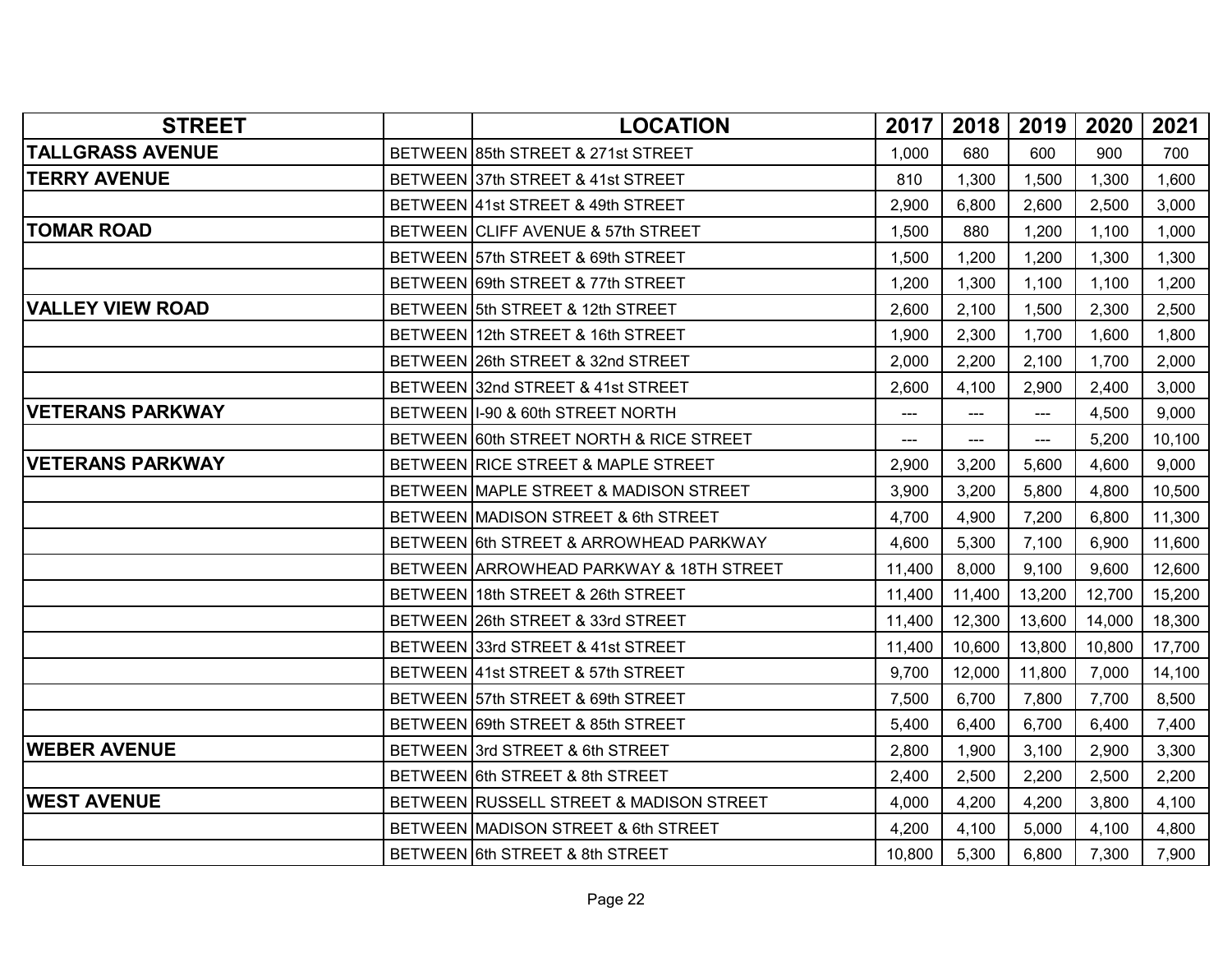| <b>STREET</b>           | <b>LOCATION</b>                         | 2017                | 2018   | 2019   | 2020   | 2021   |
|-------------------------|-----------------------------------------|---------------------|--------|--------|--------|--------|
| <b>TALLGRASS AVENUE</b> | BETWEEN 85th STREET & 271st STREET      | 1,000               | 680    | 600    | 900    | 700    |
| <b>TERRY AVENUE</b>     | BETWEEN 37th STREET & 41st STREET       | 810                 | 1,300  | 1,500  | 1,300  | 1,600  |
|                         | BETWEEN 41st STREET & 49th STREET       | 2,900               | 6,800  | 2,600  | 2,500  | 3,000  |
| <b>TOMAR ROAD</b>       | BETWEEN CLIFF AVENUE & 57th STREET      | 1,500               | 880    | 1,200  | 1,100  | 1,000  |
|                         | BETWEEN 57th STREET & 69th STREET       | 1,500               | 1,200  | 1,200  | 1,300  | 1,300  |
|                         | BETWEEN 69th STREET & 77th STREET       | 1,200               | 1,300  | 1,100  | 1,100  | 1,200  |
| <b>VALLEY VIEW ROAD</b> | BETWEEN 5th STREET & 12th STREET        | 2,600               | 2,100  | 1,500  | 2,300  | 2,500  |
|                         | BETWEEN 12th STREET & 16th STREET       | 1,900               | 2,300  | 1,700  | 1,600  | 1,800  |
|                         | BETWEEN 26th STREET & 32nd STREET       | 2,000               | 2,200  | 2,100  | 1,700  | 2,000  |
|                         | BETWEEN 32nd STREET & 41st STREET       | 2,600               | 4,100  | 2,900  | 2,400  | 3,000  |
| <b>VETERANS PARKWAY</b> | BETWEEN I-90 & 60th STREET NORTH        | ---                 | ---    | ---    | 4,500  | 9,000  |
|                         | BETWEEN 60th STREET NORTH & RICE STREET | $\qquad \qquad - -$ | $---$  | ---    | 5,200  | 10,100 |
| <b>VETERANS PARKWAY</b> | BETWEEN RICE STREET & MAPLE STREET      | 2,900               | 3,200  | 5,600  | 4,600  | 9,000  |
|                         | BETWEEN MAPLE STREET & MADISON STREET   | 3,900               | 3,200  | 5,800  | 4,800  | 10,500 |
|                         | BETWEEN MADISON STREET & 6th STREET     | 4,700               | 4,900  | 7,200  | 6,800  | 11,300 |
|                         | BETWEEN 6th STREET & ARROWHEAD PARKWAY  | 4,600               | 5,300  | 7,100  | 6,900  | 11,600 |
|                         | BETWEEN ARROWHEAD PARKWAY & 18TH STREET | 11,400              | 8,000  | 9,100  | 9,600  | 12,600 |
|                         | BETWEEN 18th STREET & 26th STREET       | 11,400              | 11,400 | 13,200 | 12,700 | 15,200 |
|                         | BETWEEN 26th STREET & 33rd STREET       | 11,400              | 12,300 | 13,600 | 14,000 | 18,300 |
|                         | BETWEEN 33rd STREET & 41st STREET       | 11,400              | 10,600 | 13,800 | 10,800 | 17,700 |
|                         | BETWEEN 41st STREET & 57th STREET       | 9,700               | 12,000 | 11,800 | 7,000  | 14,100 |
|                         | BETWEEN 57th STREET & 69th STREET       | 7,500               | 6,700  | 7,800  | 7,700  | 8,500  |
|                         | BETWEEN 69th STREET & 85th STREET       | 5,400               | 6,400  | 6,700  | 6,400  | 7,400  |
| <b>WEBER AVENUE</b>     | BETWEEN 3rd STREET & 6th STREET         | 2,800               | 1,900  | 3,100  | 2,900  | 3,300  |
|                         | BETWEEN 6th STREET & 8th STREET         | 2,400               | 2,500  | 2,200  | 2,500  | 2,200  |
| <b>WEST AVENUE</b>      | BETWEEN RUSSELL STREET & MADISON STREET | 4,000               | 4,200  | 4,200  | 3,800  | 4,100  |
|                         | BETWEEN MADISON STREET & 6th STREET     | 4,200               | 4,100  | 5,000  | 4,100  | 4,800  |
|                         | BETWEEN 6th STREET & 8th STREET         | 10,800              | 5,300  | 6,800  | 7,300  | 7,900  |